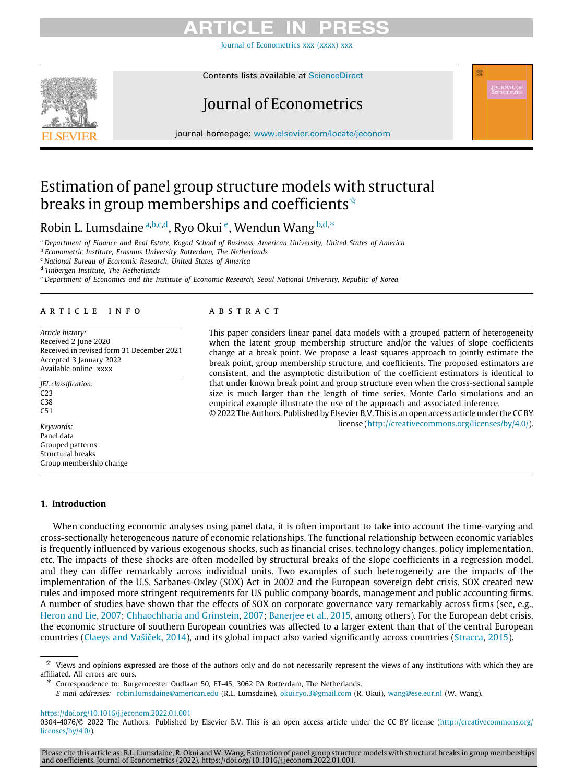[Journal of Econometrics xxx \(xxxx\) xxx](https://doi.org/10.1016/j.jeconom.2022.01.001)

Contents lists available at [ScienceDirect](http://www.elsevier.com/locate/jeconom)

<span id="page-0-7"></span>

# Journal of Econometrics

journal homepage: [www.elsevier.com/locate/jeconom](http://www.elsevier.com/locate/jeconom)

## Estimation of panel group structure models with structural breaks in group memberships and coefficients<sup> $\hat{\star}$ </sup>

### Robin L. Lumsd[a](#page-0-1)ine <sup>a,[b](#page-0-2),[c](#page-0-3),[d](#page-0-4)</sup>, Ryo Okui <sup>[e](#page-0-5)</sup>, Wendun Wang <sup>b,d,\*</sup>

<span id="page-0-1"></span><sup>a</sup> *Department of Finance and Real Estate, Kogod School of Business, American University, United States of America*

<span id="page-0-2"></span>b *Econometric Institute, Erasmus University Rotterdam, The Netherlands*

<span id="page-0-3"></span><sup>c</sup> *National Bureau of Economic Research, United States of America*

<span id="page-0-4"></span>d *Tinbergen Institute, The Netherlands*

<span id="page-0-5"></span><sup>e</sup> *Department of Economics and the Institute of Economic Research, Seoul National University, Republic of Korea*

### a r t i c l e i n f o

*Article history:* Received 2 June 2020 Received in revised form 31 December 2021 Accepted 3 January 2022 Available online xxxx

*JEL classification:* C23 C38

 $C51$ 

*Keywords:* Panel data Grouped patterns Structural breaks Group membership change

### A B S T R A C T

This paper considers linear panel data models with a grouped pattern of heterogeneity when the latent group membership structure and/or the values of slope coefficients change at a break point. We propose a least squares approach to jointly estimate the break point, group membership structure, and coefficients. The proposed estimators are consistent, and the asymptotic distribution of the coefficient estimators is identical to that under known break point and group structure even when the cross-sectional sample size is much larger than the length of time series. Monte Carlo simulations and an empirical example illustrate the use of the approach and associated inference. © 2022 The Authors. Published by Elsevier B.V. This is an open access article under the CC BY

license ([http://creativecommons.org/licenses/by/4.0/\)](http://creativecommons.org/licenses/by/4.0/).

### **1. Introduction**

When conducting economic analyses using panel data, it is often important to take into account the time-varying and cross-sectionally heterogeneous nature of economic relationships. The functional relationship between economic variables is frequently influenced by various exogenous shocks, such as financial crises, technology changes, policy implementation, etc. The impacts of these shocks are often modelled by structural breaks of the slope coefficients in a regression model, and they can differ remarkably across individual units. Two examples of such heterogeneity are the impacts of the implementation of the U.S. Sarbanes-Oxley (SOX) Act in 2002 and the European sovereign debt crisis. SOX created new rules and imposed more stringent requirements for US public company boards, management and public accounting firms. A number of studies have shown that the effects of SOX on corporate governance vary remarkably across firms (see, e.g., [Heron and Lie,](#page-20-0) [2007](#page-20-0); [Chhaochharia and Grinstein,](#page-20-1) [2007](#page-20-1); [Banerjee et al.](#page-20-2), [2015,](#page-20-2) among others). For the European debt crisis, the economic structure of southern European countries was affected to a larger extent than that of the central European countries ([Claeys and Vašíček,](#page-20-3) [2014\)](#page-20-3), and its global impact also varied significantly across countries [\(Stracca,](#page-20-4) [2015](#page-20-4)).

<span id="page-0-6"></span>∗ Correspondence to: Burgemeester Oudlaan 50, ET-45, 3062 PA Rotterdam, The Netherlands.

*E-mail addresses:* [robin.lumsdaine@american.edu](mailto:robin.lumsdaine@american.edu) (R.L. Lumsdaine), [okui.ryo.3@gmail.com](mailto:okui.ryo.3@gmail.com) (R. Okui), [wang@ese.eur.nl](mailto:wang@ese.eur.nl) (W. Wang).

<https://doi.org/10.1016/j.jeconom.2022.01.001>

0304-4076/© 2022 The Authors. Published by Elsevier B.V. This is an open access article under the CC BY license ([http://creativecommons.org/](http://creativecommons.org/licenses/by/4.0/) [licenses/by/4.0/](http://creativecommons.org/licenses/by/4.0/)).

Please cite this article as: R.L. Lumsdaine, R. Okui and W. Wang, Estimation of panel group structure models with structural breaks in group memberships<br>and coefficients. Journal of Econometrics (2022), https://doi.org/10.

<span id="page-0-0"></span> $\overrightarrow{x}$  Views and opinions expressed are those of the authors only and do not necessarily represent the views of any institutions with which they are affiliated. All errors are ours.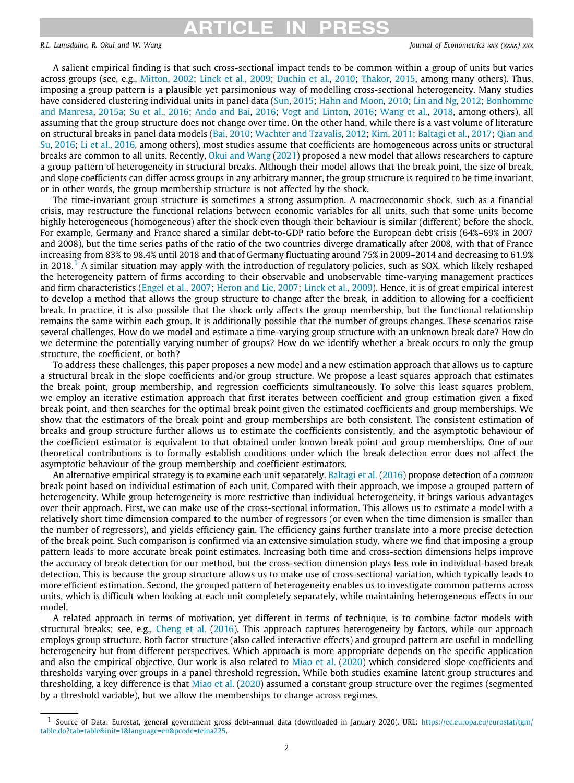# **ARTICLE IN PRESS**

*R.L. Lumsdaine, R. Okui and W. Wang Journal of Econometrics xxx (xxxx) xxx*

A salient empirical finding is that such cross-sectional impact tends to be common within a group of units but varies across groups (see, e.g., [Mitton](#page-20-5), [2002;](#page-20-5) [Linck et al.](#page-20-6), [2009;](#page-20-6) [Duchin et al.,](#page-20-7) [2010;](#page-20-7) [Thakor,](#page-20-8) [2015](#page-20-8), among many others). Thus, imposing a group pattern is a plausible yet parsimonious way of modelling cross-sectional heterogeneity. Many studies have considered clustering individual units in panel data ([Sun](#page-20-9), [2015;](#page-20-9) [Hahn and Moon](#page-20-10), [2010](#page-20-10); [Lin and Ng](#page-20-11), [2012;](#page-20-11) [Bonhomme](#page-20-12) [and Manresa,](#page-20-12) [2015a](#page-20-12); [Su et al.,](#page-20-13) [2016](#page-20-13); [Ando and Bai,](#page-19-0) [2016;](#page-19-0) [Vogt and Linton,](#page-20-14) [2016;](#page-20-14) [Wang et al.,](#page-20-15) [2018,](#page-20-15) among others), all assuming that the group structure does not change over time. On the other hand, while there is a vast volume of literature on structural breaks in panel data models [\(Bai,](#page-19-1) [2010](#page-19-1); [Wachter and Tzavalis](#page-20-16), [2012;](#page-20-16) [Kim](#page-20-17), [2011](#page-20-17); [Baltagi et al.](#page-20-18), [2017;](#page-20-18) [Qian and](#page-20-19) [Su,](#page-20-19) [2016](#page-20-19); [Li et al.](#page-20-20), [2016,](#page-20-20) among others), most studies assume that coefficients are homogeneous across units or structural breaks are common to all units. Recently, [Okui and Wang](#page-20-21) [\(2021](#page-20-21)) proposed a new model that allows researchers to capture a group pattern of heterogeneity in structural breaks. Although their model allows that the break point, the size of break, and slope coefficients can differ across groups in any arbitrary manner, the group structure is required to be time invariant, or in other words, the group membership structure is not affected by the shock.

<span id="page-1-0"></span>The time-invariant group structure is sometimes a strong assumption. A macroeconomic shock, such as a financial crisis, may restructure the functional relations between economic variables for all units, such that some units become highly heterogeneous (homogeneous) after the shock even though their behaviour is similar (different) before the shock. For example, Germany and France shared a similar debt-to-GDP ratio before the European debt crisis (64%–69% in 2007 and 2008), but the time series paths of the ratio of the two countries diverge dramatically after 2008, with that of France increasing from 83% to 98.4% until 2018 and that of Germany fluctuating around 75% in 2009–2014 and decreasing to 61.9% in 20[1](#page-1-0)8.<sup>1</sup> A similar situation may apply with the introduction of regulatory policies, such as SOX, which likely reshaped the heterogeneity pattern of firms according to their observable and unobservable time-varying management practices and firm characteristics ([Engel et al.,](#page-20-22) [2007](#page-20-22); [Heron and Lie](#page-20-0), [2007](#page-20-0); [Linck et al.,](#page-20-6) [2009](#page-20-6)). Hence, it is of great empirical interest to develop a method that allows the group structure to change after the break, in addition to allowing for a coefficient break. In practice, it is also possible that the shock only affects the group membership, but the functional relationship remains the same within each group. It is additionally possible that the number of groups changes. These scenarios raise several challenges. How do we model and estimate a time-varying group structure with an unknown break date? How do we determine the potentially varying number of groups? How do we identify whether a break occurs to only the group structure, the coefficient, or both?

To address these challenges, this paper proposes a new model and a new estimation approach that allows us to capture a structural break in the slope coefficients and/or group structure. We propose a least squares approach that estimates the break point, group membership, and regression coefficients simultaneously. To solve this least squares problem, we employ an iterative estimation approach that first iterates between coefficient and group estimation given a fixed break point, and then searches for the optimal break point given the estimated coefficients and group memberships. We show that the estimators of the break point and group memberships are both consistent. The consistent estimation of breaks and group structure further allows us to estimate the coefficients consistently, and the asymptotic behaviour of the coefficient estimator is equivalent to that obtained under known break point and group memberships. One of our theoretical contributions is to formally establish conditions under which the break detection error does not affect the asymptotic behaviour of the group membership and coefficient estimators.

An alternative empirical strategy is to examine each unit separately. [Baltagi et al.](#page-19-2) [\(2016](#page-19-2)) propose detection of a *common* break point based on individual estimation of each unit. Compared with their approach, we impose a grouped pattern of heterogeneity. While group heterogeneity is more restrictive than individual heterogeneity, it brings various advantages over their approach. First, we can make use of the cross-sectional information. This allows us to estimate a model with a relatively short time dimension compared to the number of regressors (or even when the time dimension is smaller than the number of regressors), and yields efficiency gain. The efficiency gains further translate into a more precise detection of the break point. Such comparison is confirmed via an extensive simulation study, where we find that imposing a group pattern leads to more accurate break point estimates. Increasing both time and cross-section dimensions helps improve the accuracy of break detection for our method, but the cross-section dimension plays less role in individual-based break detection. This is because the group structure allows us to make use of cross-sectional variation, which typically leads to more efficient estimation. Second, the grouped pattern of heterogeneity enables us to investigate common patterns across units, which is difficult when looking at each unit completely separately, while maintaining heterogeneous effects in our model.

A related approach in terms of motivation, yet different in terms of technique, is to combine factor models with structural breaks; see, e.g., [Cheng et al.](#page-20-23) ([2016\)](#page-20-23). This approach captures heterogeneity by factors, while our approach employs group structure. Both factor structure (also called interactive effects) and grouped pattern are useful in modelling heterogeneity but from different perspectives. Which approach is more appropriate depends on the specific application and also the empirical objective. Our work is also related to [Miao et al.](#page-20-24) ([2020\)](#page-20-24) which considered slope coefficients and thresholds varying over groups in a panel threshold regression. While both studies examine latent group structures and thresholding, a key difference is that [Miao et al.](#page-20-24) ([2020](#page-20-24)) assumed a constant group structure over the regimes (segmented by a threshold variable), but we allow the memberships to change across regimes.

<sup>1</sup> Source of Data: Eurostat, general government gross debt-annual data (downloaded in January 2020). URL: [https://ec.europa.eu/eurostat/tgm/](https://ec.europa.eu/eurostat/tgm/table.do?tab=table&init=1&language=en&pcode=teina225) [table.do?tab=table&init=1&language=en&pcode=teina225](https://ec.europa.eu/eurostat/tgm/table.do?tab=table&init=1&language=en&pcode=teina225).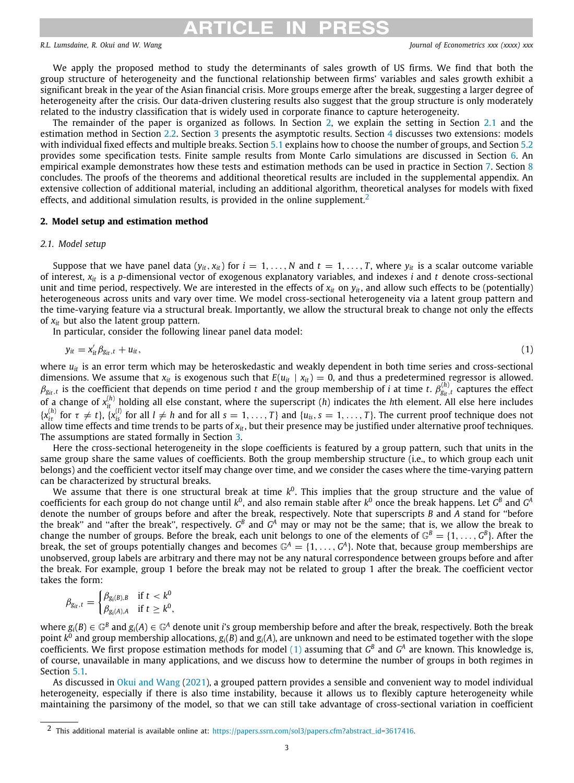# <span id="page-2-2"></span>CI E II

### *R.L. Lumsdaine, R. Okui and W. Wang Journal of Econometrics xxx (xxxx) xxx*

We apply the proposed method to study the determinants of sales growth of US firms. We find that both the group structure of heterogeneity and the functional relationship between firms' variables and sales growth exhibit a significant break in the year of the Asian financial crisis. More groups emerge after the break, suggesting a larger degree of heterogeneity after the crisis. Our data-driven clustering results also suggest that the group structure is only moderately related to the industry classification that is widely used in corporate finance to capture heterogeneity.

The remainder of the paper is organized as follows. In Section [2](#page-2-0), we explain the setting in Section [2.1](#page-2-1) and the estimation method in Section [2.2](#page-3-0). Section [3](#page-4-0) presents the asymptotic results. Section [4](#page-6-0) discusses two extensions: models with individual fixed effects and multiple breaks. Section [5.1](#page-8-0) explains how to choose the number of groups, and Section [5.2](#page-9-0) provides some specification tests. Finite sample results from Monte Carlo simulations are discussed in Section [6.](#page-10-0) An empirical example demonstrates how these tests and estimation methods can be used in practice in Section [7.](#page-15-0) Section [8](#page-19-3) concludes. The proofs of the theorems and additional theoretical results are included in the supplemental appendix. An extensive collection of additional material, including an additional algorithm, theoretical analyses for models with fixed effects, and additional simulation results, is provided in the online supplement.<sup>[2](#page-2-2)</sup>

### **2. Model setup and estimation method**

### <span id="page-2-0"></span>*2.1. Model setup*

<span id="page-2-1"></span>Suppose that we have panel data  $(y_i, x_{it})$  for  $i = 1, \ldots, N$  and  $t = 1, \ldots, T$ , where  $y_i$  is a scalar outcome variable of interest, *xit* is a *p*-dimensional vector of exogenous explanatory variables, and indexes *i* and *t* denote cross-sectional unit and time period, respectively. We are interested in the effects of  $x_i$  on  $y_i$ , and allow such effects to be (potentially) heterogeneous across units and vary over time. We model cross-sectional heterogeneity via a latent group pattern and the time-varying feature via a structural break. Importantly, we allow the structural break to change not only the effects of *xit* but also the latent group pattern.

In particular, consider the following linear panel data model:

<span id="page-2-3"></span>
$$
y_{it} = x_{it}'\beta_{g_{it},t} + u_{it},\tag{1}
$$

where  $u_{it}$  is an error term which may be heteroskedastic and weakly dependent in both time series and cross-sectional dimensions. We assume that  $x_i$  is exogenous such that  $E(u_i \mid x_i) = 0$ , and thus a predetermined regressor is allowed.  $\beta_{g_i,t}$  is the coefficient that depends on time period *t* and the group membership of *i* at time *t*.  $\beta_{g_i,t}^{(h)}$  captures the effect of a change of  $x_{it}^{(h)}$  holding all else constant, where the superscript (*h*) indicates the *h*th element. All else here includes  $\{x_{it}^{(h)}$  for  $\tau \neq t\}$ ,  $\{x_{is}^{(l)}$  for all  $l \neq h$  and for all  $s = 1, \ldots, T\}$  and  $\{u_{is}, s = 1, \ldots, T\}$ . The current proof technique does not allow time effects and time trends to be parts of *xit*, but their presence may be justified under alternative proof techniques. The assumptions are stated formally in Section [3](#page-4-0).

Here the cross-sectional heterogeneity in the slope coefficients is featured by a group pattern, such that units in the same group share the same values of coefficients. Both the group membership structure (i.e., to which group each unit belongs) and the coefficient vector itself may change over time, and we consider the cases where the time-varying pattern can be characterized by structural breaks.

We assume that there is one structural break at time  $k^0$ . This implies that the group structure and the value of coefficients for each group do not change until  $k^0$ , and also remain stable after  $k^0$  once the break happens. Let  $G^B$  and  $G^A$ denote the number of groups before and after the break, respectively. Note that superscripts *B* and *A* stand for ''before the break" and "after the break", respectively.  $G^B$  and  $G^A$  may or may not be the same; that is, we allow the break to change the number of groups. Before the break, each unit belongs to one of the elements of  $\mathbb{G}^B=\{1,\ldots,G^B\}$ . After the break, the set of groups potentially changes and becomes  $\mathbb{G}^A=\{1,\ldots,G^A\}$ . Note that, because group memberships are unobserved, group labels are arbitrary and there may not be any natural correspondence between groups before and after the break. For example, group 1 before the break may not be related to group 1 after the break. The coefficient vector takes the form:

$$
\beta_{g_{it},t} = \begin{cases} \beta_{g_i(B),B} & \text{if } t < k^0\\ \beta_{g_i(A),A} & \text{if } t \geq k^0, \end{cases}
$$

where  $g_i(B)\in\mathbb{G}^B$  and  $g_i(A)\in\mathbb{G}^A$  denote unit  $i$ 's group membership before and after the break, respectively. Both the break point *k* 0 and group membership allocations, *gi*(*B*) and *gi*(*A*), are unknown and need to be estimated together with the slope coefficients. We first propose estimation methods for model [\(1](#page-2-3)) assuming that  $G^B$  and  $G^A$  are known. This knowledge is, of course, unavailable in many applications, and we discuss how to determine the number of groups in both regimes in Section [5.1.](#page-8-0)

As discussed in [Okui and Wang](#page-20-21) [\(2021\)](#page-20-21), a grouped pattern provides a sensible and convenient way to model individual heterogeneity, especially if there is also time instability, because it allows us to flexibly capture heterogeneity while maintaining the parsimony of the model, so that we can still take advantage of cross-sectional variation in coefficient

<sup>2</sup> This additional material is available online at: [https://papers.ssrn.com/sol3/papers.cfm?abstract\\_id=3617416.](https://papers.ssrn.com/sol3/papers.cfm?abstract_id=3617416)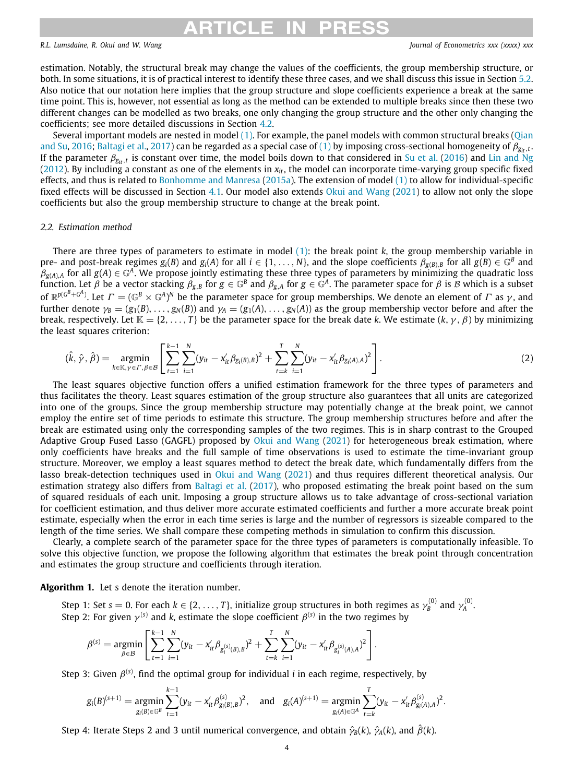## RTICI E I

### *R.L. Lumsdaine, R. Okui and W. Wang Journal of Econometrics xxx (xxxx) xxx*

<span id="page-3-1"></span>

estimation. Notably, the structural break may change the values of the coefficients, the group membership structure, or both. In some situations, it is of practical interest to identify these three cases, and we shall discuss this issue in Section [5.2.](#page-9-0) Also notice that our notation here implies that the group structure and slope coefficients experience a break at the same time point. This is, however, not essential as long as the method can be extended to multiple breaks since then these two different changes can be modelled as two breaks, one only changing the group structure and the other only changing the coefficients; see more detailed discussions in Section [4.2](#page-7-0).

Several important models are nested in model  $(1)$  $(1)$  $(1)$ . For example, the panel models with common structural breaks  $(0)$ ian [and Su](#page-20-19), [2016](#page-20-19); [Baltagi et al.,](#page-20-18) [2017](#page-20-18)) can be regarded as a special case of [\(1\)](#page-2-3) by imposing cross-sectional homogeneity of  $\beta_{\text{g}_{it},t}$ lf the parameter  $\beta_{g_{it}},$  is constant over time, the model boils down to that considered in [Su et al.](#page-20-13) [\(2016\)](#page-20-13) and [Lin and Ng](#page-20-11) [\(2012\)](#page-20-11). By including a constant as one of the elements in  $x_{it}$ , the model can incorporate time-varying group specific fixed effects, and thus is related to [Bonhomme and Manresa](#page-20-12) [\(2015a\)](#page-20-12). The extension of model [\(1](#page-2-3)) to allow for individual-specific fixed effects will be discussed in Section [4.1.](#page-6-1) Our model also extends [Okui and Wang](#page-20-21) ([2021\)](#page-20-21) to allow not only the slope coefficients but also the group membership structure to change at the break point.

### *2.2. Estimation method*

<span id="page-3-0"></span>There are three types of parameters to estimate in model ([1\)](#page-2-3): the break point *k*, the group membership variable in pre- and post-break regimes  $g_i(B)$  and  $g_i(A)$  for all  $i \in \{1,\ldots,N\}$ , and the slope coefficients  $\beta_{g(B),B}$  for all  $g(B) \in \mathbb{G}^B$  and  $\beta_{g(A),A}$  for all  $g(A)\in\mathbb{G}^A$ . We propose jointly estimating these three types of parameters by minimizing the quadratic loss function. Let  $\beta$  be a vector stacking  $\beta_{g,B}$  for  $g\in\mathbb{G}^B$  and  $\beta_{g,A}$  for  $g\in\mathbb{G}^A.$  The parameter space for  $\beta$  is  $\cal B$  which is a subset of  $\mathbb{R}^{p(G^B+G^A)}$ . Let  $\varGamma=(\mathbb{G}^B\times\mathbb{G}^A)^N$  be the parameter space for group memberships. We denote an element of  $\varGamma$  as  $\gamma$ , and further denote  $\gamma_B = (g_1(B), \ldots, g_N(B))$  and  $\gamma_A = (g_1(A), \ldots, g_N(A))$  as the group membership vector before and after the break, respectively. Let  $\mathbb{K} = \{2, \ldots, T\}$  be the parameter space for the break date *k*. We estimate  $(k, \gamma, \beta)$  by minimizing the least squares criterion:

$$
(\hat{k}, \hat{\gamma}, \hat{\beta}) = \underset{k \in \mathbb{K}, \gamma \in \Gamma, \beta \in \mathcal{B}}{\text{argmin}} \left[ \sum_{t=1}^{k-1} \sum_{i=1}^{N} (y_{it} - x_{it}' \beta_{g_i(B), B})^2 + \sum_{t=k}^{T} \sum_{i=1}^{N} (y_{it} - x_{it}' \beta_{g_i(A), A})^2 \right].
$$
\n(2)

The least squares objective function offers a unified estimation framework for the three types of parameters and thus facilitates the theory. Least squares estimation of the group structure also guarantees that all units are categorized into one of the groups. Since the group membership structure may potentially change at the break point, we cannot employ the entire set of time periods to estimate this structure. The group membership structures before and after the break are estimated using only the corresponding samples of the two regimes. This is in sharp contrast to the Grouped Adaptive Group Fused Lasso (GAGFL) proposed by [Okui and Wang](#page-20-21) ([2021\)](#page-20-21) for heterogeneous break estimation, where only coefficients have breaks and the full sample of time observations is used to estimate the time-invariant group structure. Moreover, we employ a least squares method to detect the break date, which fundamentally differs from the lasso break-detection techniques used in [Okui and Wang](#page-20-21) [\(2021\)](#page-20-21) and thus requires different theoretical analysis. Our estimation strategy also differs from [Baltagi et al.](#page-20-18) [\(2017\)](#page-20-18), who proposed estimating the break point based on the sum of squared residuals of each unit. Imposing a group structure allows us to take advantage of cross-sectional variation for coefficient estimation, and thus deliver more accurate estimated coefficients and further a more accurate break point estimate, especially when the error in each time series is large and the number of regressors is sizeable compared to the length of the time series. We shall compare these competing methods in simulation to confirm this discussion.

Clearly, a complete search of the parameter space for the three types of parameters is computationally infeasible. To solve this objective function, we propose the following algorithm that estimates the break point through concentration and estimates the group structure and coefficients through iteration.

### <span id="page-3-2"></span>**Algorithm 1.** Let s denote the iteration number.

Step 1: Set  $s = 0$ . For each  $k \in \{2, \ldots, T\}$ , initialize group structures in both regimes as  $\gamma_B^{(0)}$  and  $\gamma_A^{(0)}$ . Step 2: For given  $\gamma^{(s)}$  and  $k$ , estimate the slope coefficient  $\beta^{(s)}$  in the two regimes by

$$
\beta^{(s)} = \underset{\beta \in \mathcal{B}}{\text{argmin}} \left[ \sum_{t=1}^{k-1} \sum_{i=1}^{N} (y_{it} - x_{it}' \beta_{g_i^{(s)}(B),B})^2 + \sum_{t=k}^{T} \sum_{i=1}^{N} (y_{it} - x_{it}' \beta_{g_i^{(s)}(A),A})^2 \right].
$$

Step 3: Given *β*<sup>(s)</sup>, find the optimal group for individual *i* in each regime, respectively, by

$$
g_i(B)^{(s+1)} = \underset{g_i(B) \in \mathbb{G}^B}{\text{argmin}} \sum_{t=1}^{k-1} (y_{it} - x_{it}'\beta_{g_i(B),B}^{(s)})^2, \text{ and } g_i(A)^{(s+1)} = \underset{g_i(A) \in \mathbb{G}^A}{\text{argmin}} \sum_{t=k}^{T} (y_{it} - x_{it}'\beta_{g_i(A),A}^{(s)})^2.
$$

Step 4: Iterate Steps 2 and 3 until numerical convergence, and obtain  $\hat{\gamma}_B(k)$ ,  $\hat{\gamma}_A(k)$ , and  $\hat{\beta}(k)$ .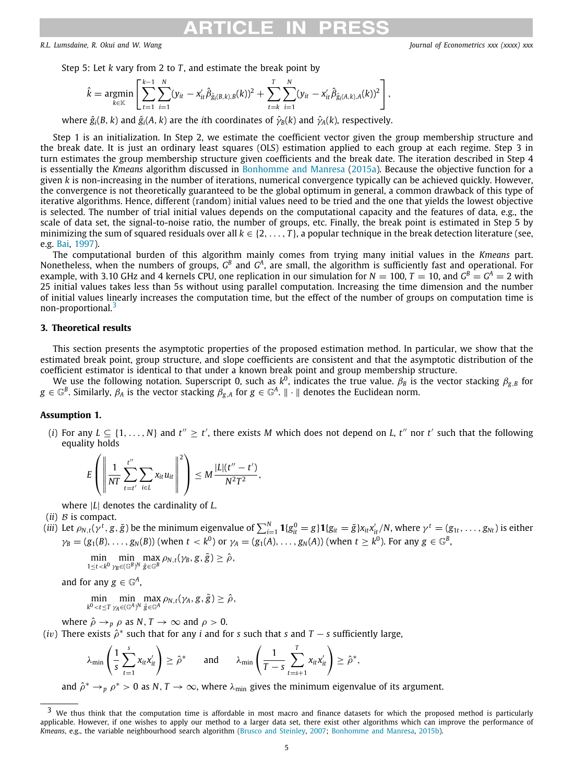Step 5: Let *k* vary from 2 to *T* , and estimate the break point by

$$
\hat{k} = \underset{k \in \mathbb{K}}{\text{argmin}} \left[ \sum_{t=1}^{k-1} \sum_{i=1}^{N} (y_{it} - x_{it}' \hat{\beta}_{\hat{g}_i(B,k),B}(k))^2 + \sum_{t=k}^{T} \sum_{i=1}^{N} (y_{it} - x_{it}' \hat{\beta}_{\hat{g}_i(A,k),A}(k))^2 \right],
$$

where  $\hat{g}_i(B, k)$  and  $\hat{g}_i(A, k)$  are the *i*th coordinates of  $\hat{\gamma}_B(k)$  and  $\hat{\gamma}_A(k)$ , respectively.

Step 1 is an initialization. In Step 2, we estimate the coefficient vector given the group membership structure and the break date. It is just an ordinary least squares (OLS) estimation applied to each group at each regime. Step 3 in turn estimates the group membership structure given coefficients and the break date. The iteration described in Step 4 is essentially the *Kmeans* algorithm discussed in [Bonhomme and Manresa](#page-20-12) ([2015a](#page-20-12)). Because the objective function for a given *k* is non-increasing in the number of iterations, numerical convergence typically can be achieved quickly. However, the convergence is not theoretically guaranteed to be the global optimum in general, a common drawback of this type of iterative algorithms. Hence, different (random) initial values need to be tried and the one that yields the lowest objective is selected. The number of trial initial values depends on the computational capacity and the features of data, e.g., the scale of data set, the signal-to-noise ratio, the number of groups, etc. Finally, the break point is estimated in Step 5 by minimizing the sum of squared residuals over all  $k \in \{2, \ldots, T\}$ , a popular technique in the break detection literature (see, e.g. [Bai,](#page-19-4) [1997\)](#page-19-4).

The computational burden of this algorithm mainly comes from trying many initial values in the *Kmeans* part. Nonetheless, when the numbers of groups,  $G^B$  and  $G^A$ , are small, the algorithm is sufficiently fast and operational. For example, with 3.10 GHz and 4 kernels CPU, one replication in our simulation for  $N=100$ ,  $T=10$ , and  $G^B=G^A=2$  with 25 initial values takes less than 5s without using parallel computation. Increasing the time dimension and the number of initial values linearly increases the computation time, but the effect of the number of groups on computation time is non-proportional.<sup>[3](#page-4-1)</sup>

### <span id="page-4-1"></span>**3. Theoretical results**

<span id="page-4-0"></span>This section presents the asymptotic properties of the proposed estimation method. In particular, we show that the estimated break point, group structure, and slope coefficients are consistent and that the asymptotic distribution of the coefficient estimator is identical to that under a known break point and group membership structure.

We use the following notation. Superscript 0, such as  $k^0$ , indicates the true value.  $\beta_B$  is the vector stacking  $\beta_{g,B}$  for  $g\in\mathbb{G}^B.$  Similarly,  $\beta_A$  is the vector stacking  $\beta_{g,A}$  for  $g\in\mathbb{G}^A.$   $\|\cdot\|$  denotes the Euclidean norm.

### <span id="page-4-2"></span>**Assumption 1.**

(*i*) For any  $L \subseteq \{1, ..., N\}$  and  $t'' \geq t'$ , there exists *M* which does not depend on *L*,  $t''$  nor  $t'$  such that the following equality holds

$$
E\left(\left\|\frac{1}{NT}\sum_{t=t'}^{t''}\sum_{i\in L}x_{it}u_{it}\right\|^2\right)\leq M\frac{|L|(t''-t')}{N^2T^2},
$$

where |*L*| denotes the cardinality of *L*.

 $(ii)$   $B$  is compact.

(iii) Let  $\rho_{N,t}(\gamma^t,g,\tilde{g})$  be the minimum eigenvalue of  $\sum_{i=1}^N\mathbf{1}\{g_{it}^0=g\}\mathbf{1}\{g_{it}=\tilde{g}\}x_{it}x_{it}^{\prime}/N$ , where  $\gamma^t=(g_{1t},\ldots,g_{Nt})$  is either  $\gamma_B=(g_1(B),\ldots,g_N(B))$  (when  $t < k^0$ ) or  $\gamma_A=(g_1(A),\ldots,g_N(A))$  (when  $t \geq k^0$ ). For any  $g \in \mathbb{G}^B$ ,

$$
\min_{1\leq t < k^0}\min_{\gamma_B\in (\mathbb{G}^B)^N} \max_{\tilde{g}\in \mathbb{G}^B}\rho_{N,t}(\gamma_B,g,\tilde{g}) \geq \hat{\rho},
$$

and for any  $g \in \mathbb{G}^A$ ,

$$
\min_{k^0 < t \leq T} \min_{\gamma_A \in (\mathbb{G}^A)^N} \max_{\tilde{g} \in \mathbb{G}^A} \rho_{N,t}(\gamma_A, g, \tilde{g}) \geq \hat{\rho},
$$

where  $\hat{\rho} \rightarrow_{p} \rho$  as *N*, *T*  $\rightarrow \infty$  and  $\rho > 0$ .

 $(iv)$  There exists  $\hat{\rho}^*$  such that for any *i* and for *s* such that *s* and *T* − *s* sufficiently large,

$$
\lambda_{\min}\left(\frac{1}{s}\sum_{t=1}^s x_{it}x_{it}'\right) \geq \hat{\rho}^* \quad \text{and} \quad \lambda_{\min}\left(\frac{1}{T-s}\sum_{t=s+1}^T x_{it}x_{it}'\right) \geq \hat{\rho}^*,
$$

and  $\hat{\rho}^* \to_p \rho^* > 0$  as  $N, T \to \infty$ , where  $\lambda_{\min}$  gives the minimum eigenvalue of its argument.

 $3$  We thus think that the computation time is affordable in most macro and finance datasets for which the proposed method is particularly applicable. However, if one wishes to apply our method to a larger data set, there exist other algorithms which can improve the performance of *Kmeans*, e.g., the variable neighbourhood search algorithm ([Brusco and Steinley,](#page-20-25) [2007;](#page-20-25) [Bonhomme and Manresa](#page-20-26), [2015b\)](#page-20-26).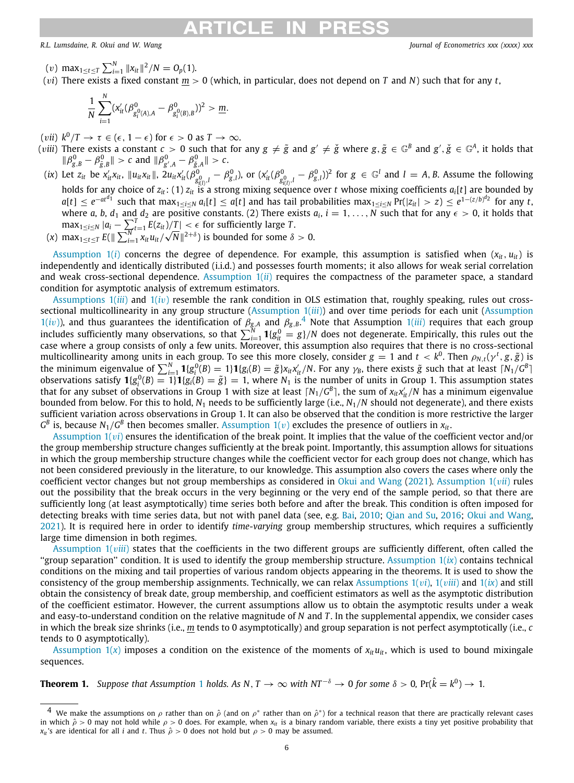### ARTICI E IN

*R.L. Lumsdaine, R. Okui and W. Wang Journal of Econometrics xxx (xxxx) xxx*

- $(v)$  max $_{1 \le t \le T}$   $\sum_{i=1}^{N} ||x_{it}||^2 / N = O_p(1)$ .
- (v*i*) There exists a fixed constant *m* > 0 (which, in particular, does not depend on *T* and *N*) such that for any *t*,

$$
\frac{1}{N}\sum_{i=1}^N (x'_{it}(\beta^0_{g_i^0(A),A}-\beta^0_{g_i^0(B),B}))^2 > \underline{m}.
$$

(*vii*)  $k^0/T \to \tau \in (\epsilon, 1 - \epsilon)$  for  $\epsilon > 0$  as  $T \to \infty$ .

- (*viii*) There exists a constant  $c>0$  such that for any  $g\neq\tilde{g}$  and  $g'\neq\check{g}$  where  $g,\tilde{g}\in\mathbb{G}^B$  and  $g',\check{g}\in\mathbb{G}^A$ , it holds that  $\|\beta_{g,B}^0 - \beta_{\tilde{g},B}^0\| > c$  and  $\|\beta_{g',A}^0 - \beta_{\tilde{g},A}^0\| > c$ .
- (*ix*) Let  $z_{it}$  be  $x'_{it}x_{it}$ ,  $||u_{it}x_{it}||$ ,  $2u_{it}x'_{it}(\beta_g^0)$  $\beta_{g(l)}^0$ ,*l* –  $\beta_{g,l}^0$ ), or  $(x'_{it}(\beta_{g(l)}^0))$  $g_{\mathcal{E}_{l(l)},l}^{0} - \beta_{g,l}^{0})^2$  for  $g \in \mathbb{G}^l$  and  $l = A, B$ . Assume the following holds for any choice of *zit*: (1) *zit* is a strong mixing sequence over *t* whose mixing coefficients *ai*[*t*] are bounded by  $a[t]\le e^{-at^d1}$  such that max $_{1\le i\le N}a_i[t]\le a[t]$  and has tail probabilities max $_{1\le i\le N}$  Pr( $|z_{it}|>z)\le e^{1-(z/b)^{d_2}}$  for any t, where *a*, *b*, *d*<sub>1</sub> and *d*<sub>2</sub> are positive constants. (2) There exists  $a_i$ ,  $i = 1, ..., N$  such that for any  $\epsilon > 0$ , it holds that  $\max_{1 \leq i \leq N} |a_i - \sum_{t=1}^T E(z_{it})/T| < \epsilon$  for sufficiently large *T*.
- $(x)$  max $_{1 \le t \le T} E(||\sum_{i=1}^{N} x_{it} u_{it})$  $\sqrt{N}$ ||<sup>2+δ</sup>) is bounded for some δ > 0.

Assumption  $1(i)$  concerns the degree of dependence. For example, this assumption is satisfied when  $(x_i, u_i)$  is independently and identically distributed (i.i.d.) and possesses fourth moments; it also allows for weak serial correlation and weak cross-sectional dependence. [Assumption 1\(](#page-4-2)*ii*) requires the compactness of the parameter space, a standard condition for asymptotic analysis of extremum estimators.

<span id="page-5-0"></span>[Assumptions 1\(](#page-4-2)*iii*) and [1\(](#page-4-2)*i*v) resemble the rank condition in OLS estimation that, roughly speaking, rules out crosssectional multicollinearity in any group structure ([Assumption 1\(](#page-4-2)*iii*)) and over time periods for each unit [\(Assumption](#page-4-2)  $1(iv)$  $1(iv)$ ), and thus guarantees the identification of  $\beta_{g,A}$  and  $\beta_{g,B}$ .<sup>[4](#page-5-0)</sup> Note that Assumption  $1(iii)$  requires that each group includes sufficiently many observations, so that  $\sum_{i=1}^N\pmb{1}\{g_{it}^0=g\}/N$  does not degenerate. Empirically, this rules out the case where a group consists of only a few units. Moreover, this assumption also requires that there is no cross-sectional multicollinearity among units in each group. To see this more closely, consider  $g=1$  and  $t < k^0.$  Then  $\rho_{N,t}(\gamma^t,g,\tilde{g})$  is the minimum eigenvalue of  $\sum_{i=1}^N\pmb{1}\{g_i^0(B)=1\}\pmb{1}\{g_i(B)=\tilde{g}\}x_{it}x_{it}^\prime/N.$  For any  $\gamma_B$ , there exists  $\tilde{g}$  such that at least  $\lceil N_1/G^B\rceil$ observations satisfy  $\mathbf{1}\{g_i^0(B) = 1\} \mathbf{1}\{g_i(B) = \tilde{g}\} = 1$ , where  $N_1$  is the number of units in Group 1. This assumption states that for any subset of observations in Group 1 with size at least  $\lceil N_1/G^B \rceil$ , the sum of  $x_{it}x'_{it}/N$  has a minimum eigenvalue bounded from below. For this to hold,  $N_1$  needs to be sufficiently large (i.e.,  $N_1/N$  should not degenerate), and there exists sufficient variation across observations in Group 1. It can also be observed that the condition is more restrictive the larger  $G^B$  is, because  $N_1/G^B$  then becomes smaller. Assumption  $1(v)$  excludes the presence of outliers in  $x_{it}$ .

Assumption  $1(vi)$  ensures the identification of the break point. It implies that the value of the coefficient vector and/or the group membership structure changes sufficiently at the break point. Importantly, this assumption allows for situations in which the group membership structure changes while the coefficient vector for each group does not change, which has not been considered previously in the literature, to our knowledge. This assumption also covers the cases where only the coefficient vector changes but not group memberships as considered in [Okui and Wang](#page-20-21) [\(2021\)](#page-20-21). Assumption  $1(vii)$  rules out the possibility that the break occurs in the very beginning or the very end of the sample period, so that there are sufficiently long (at least asymptotically) time series both before and after the break. This condition is often imposed for detecting breaks with time series data, but not with panel data (see, e.g. [Bai](#page-19-1), [2010](#page-19-1); [Qian and Su](#page-20-19), [2016;](#page-20-19) [Okui and Wang,](#page-20-21) [2021\)](#page-20-21). It is required here in order to identify *time-varying* group membership structures, which requires a sufficiently large time dimension in both regimes.

Assumption  $1(viii)$  states that the coefficients in the two different groups are sufficiently different, often called the ''group separation'' condition. It is used to identify the group membership structure. [Assumption 1\(](#page-4-2)*ix*) contains technical conditions on the mixing and tail properties of various random objects appearing in the theorems. It is used to show the consistency of the group membership assignments. Technically, we can relax Assumptions  $1(vi)$  $1(vi)$ ,  $1(viii)$  and  $1(ix)$  and still obtain the consistency of break date, group membership, and coefficient estimators as well as the asymptotic distribution of the coefficient estimator. However, the current assumptions allow us to obtain the asymptotic results under a weak and easy-to-understand condition on the relative magnitude of *N* and *T* . In the supplemental appendix, we consider cases in which the break size shrinks (i.e., *m* tends to 0 asymptotically) and group separation is not perfect asymptotically (i.e., *c* tends to 0 asymptotically).

Assumption  $1(x)$  imposes a condition on the existence of the moments of  $x_i u_{it}$ , which is used to bound mixingale sequences.

<span id="page-5-1"></span>**Theorem [1](#page-4-2).** Suppose that Assumption 1 holds. As N, T  $\to \infty$  with NT<sup>-8</sup>  $\to 0$  for some 8 > 0, Pr( $\hat{k} = k^0$ )  $\to 1$ .

 $^4$  We make the assumptions on  $\rho$  rather than on  $\hat{\rho}$  (and on  $\rho^*$  rather than on  $\hat{\rho}^*$ ) for a technical reason that there are practically relevant cases in which  $\hat{\rho} > 0$  may not hold while  $\rho > 0$  does. For example, when  $x_i$  is a binary random variable, there exists a tiny yet positive probability that *x<sub>it</sub>*'s are identical for all *i* and *t*. Thus  $\hat{\rho} > 0$  does not hold but  $\rho > 0$  may be assumed.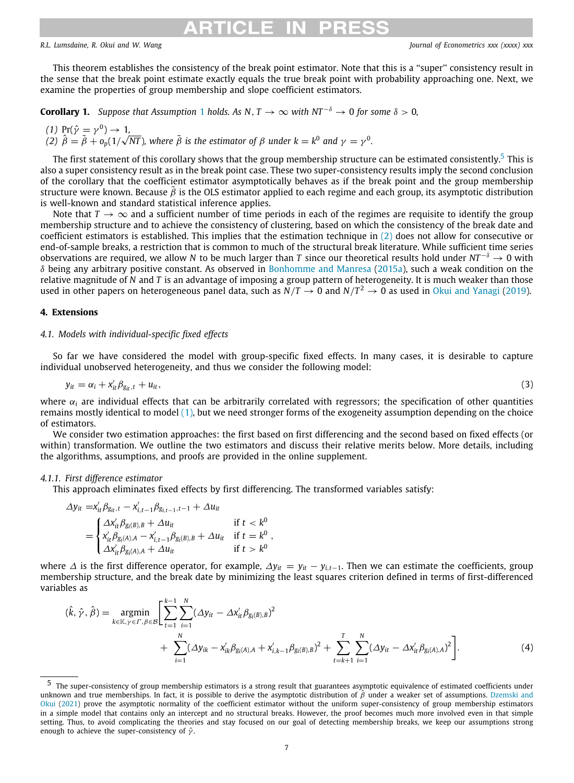## <span id="page-6-2"></span>CI E IN

This theorem establishes the consistency of the break point estimator. Note that this is a ''super'' consistency result in the sense that the break point estimate exactly equals the true break point with probability approaching one. Next, we examine the properties of group membership and slope coefficient estimators.

<span id="page-6-4"></span>**Corollary [1](#page-4-2).** *Suppose that Assumption* 1 *holds. As N*,  $T \to \infty$  *with NT*<sup>- $\delta$ </sup>  $\to 0$  *for some*  $\delta > 0$ *,* 

 $(1)$   $Pr(\hat{\gamma} = \gamma^0) \rightarrow 1$ *(2)*  $\hat{\beta} = \tilde{\beta} + o_p(1/\sqrt{NT})$ , where  $\tilde{\beta}$  is the estimator of  $\beta$  under  $k = k^0$  and  $\gamma = \gamma^0$ .

The first statement of this corollary shows that the group membership structure can be estimated consistently.<sup>[5](#page-6-2)</sup> This is also a super consistency result as in the break point case. These two super-consistency results imply the second conclusion of the corollary that the coefficient estimator asymptotically behaves as if the break point and the group membership structure were known. Because  $\tilde{\beta}$  is the OLS estimator applied to each regime and each group, its asymptotic distribution is well-known and standard statistical inference applies.

Note that  $T \to \infty$  and a sufficient number of time periods in each of the regimes are requisite to identify the group membership structure and to achieve the consistency of clustering, based on which the consistency of the break date and coefficient estimators is established. This implies that the estimation technique in ([2](#page-3-1)) does not allow for consecutive or end-of-sample breaks, a restriction that is common to much of the structural break literature. While sufficient time series observations are required, we allow *N* to be much larger than *T* since our theoretical results hold under *NT* <sup>−</sup><sup>δ</sup> → 0 with  $\delta$  being any arbitrary positive constant. As observed in [Bonhomme and Manresa](#page-20-12) [\(2015a\)](#page-20-12), such a weak condition on the relative magnitude of *N* and *T* is an advantage of imposing a group pattern of heterogeneity. It is much weaker than those used in other papers on heterogeneous panel data, such as  $N/T \to 0$  and  $N/T^2 \to 0$  as used in [Okui and Yanagi](#page-20-27) [\(2019](#page-20-27)).

### **4. Extensions**

### <span id="page-6-0"></span>*4.1. Models with individual-specific fixed effects*

<span id="page-6-1"></span>So far we have considered the model with group-specific fixed effects. In many cases, it is desirable to capture individual unobserved heterogeneity, and thus we consider the following model:

$$
y_{it} = \alpha_i + x_{it}' \beta_{g_{it},t} + u_{it}, \tag{3}
$$

where α*<sup>i</sup>* are individual effects that can be arbitrarily correlated with regressors; the specification of other quantities remains mostly identical to model [\(1\)](#page-2-3), but we need stronger forms of the exogeneity assumption depending on the choice of estimators.

We consider two estimation approaches: the first based on first differencing and the second based on fixed effects (or within) transformation. We outline the two estimators and discuss their relative merits below. More details, including the algorithms, assumptions, and proofs are provided in the online supplement.

### <span id="page-6-5"></span>*4.1.1. First difference estimator*

This approach eliminates fixed effects by first differencing. The transformed variables satisfy:

$$
\Delta y_{it} = x'_{it} \beta_{g_{it},t} - x'_{i,t-1} \beta_{g_{i,t-1},t-1} + \Delta u_{it}
$$
\n
$$
= \begin{cases}\n\Delta x'_{it} \beta_{g_i(B),B} + \Delta u_{it} & \text{if } t < k^0 \\
x'_{it} \beta_{g_i(A),A} - x'_{i,t-1} \beta_{g_i(B),B} + \Delta u_{it} & \text{if } t = k^0 \\
\Delta x'_{it} \beta_{g_i(A),A} + \Delta u_{it} & \text{if } t > k^0\n\end{cases},
$$

where  $\triangle$  is the first difference operator, for example,  $\triangle y_{it} = y_{it} - y_{i,t-1}$ . Then we can estimate the coefficients, group membership structure, and the break date by minimizing the least squares criterion defined in terms of first-differenced variables as

<span id="page-6-3"></span>
$$
(\hat{k}, \hat{\gamma}, \hat{\beta}) = \underset{k \in \mathbb{K}, \gamma \in \Gamma, \beta \in \mathcal{B}}{\operatorname{argmin}} \Bigg[ \sum_{t=1}^{k-1} \sum_{i=1}^{N} (\Delta y_{it} - \Delta x_{it}' \beta_{g_i(\beta), \beta})^2 + \sum_{t=k+1}^{N} \sum_{i=1}^{N} (\Delta y_{it} - \Delta x_{it}' \beta_{g_i(\beta), \beta})^2 + \sum_{t=k+1}^{N} \sum_{i=1}^{N} (\Delta y_{it} - \Delta x_{it}' \beta_{g_i(\beta), \beta})^2 \Bigg]. \tag{4}
$$

<sup>5</sup> The super-consistency of group membership estimators is a strong result that guarantees asymptotic equivalence of estimated coefficients under unknown and true memberships. In fact, it is possible to derive the asymptotic distribution of  $\hat{\beta}$  under a weaker set of assumptions. [Dzemski and](#page-20-28) [Okui](#page-20-28) [\(2021\)](#page-20-28) prove the asymptotic normality of the coefficient estimator without the uniform super-consistency of group membership estimators in a simple model that contains only an intercept and no structural breaks. However, the proof becomes much more involved even in that simple setting. Thus, to avoid complicating the theories and stay focused on our goal of detecting membership breaks, we keep our assumptions strong enough to achieve the super-consistency of  $\hat{\gamma}$ .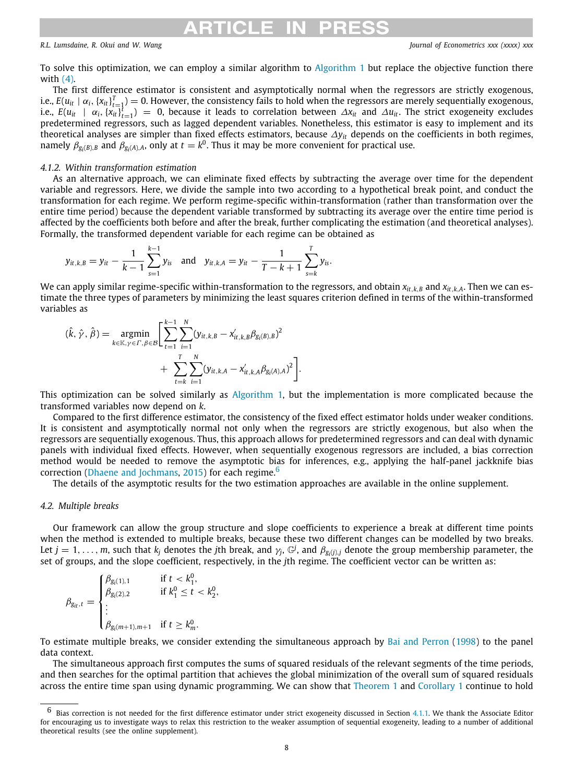## **RTICI E II**

*R.L. Lumsdaine, R. Okui and W. Wang Journal of Econometrics xxx (xxxx) xxx*

To solve this optimization, we can employ a similar algorithm to [Algorithm](#page-3-2) [1](#page-3-2) but replace the objective function there with ([4\)](#page-6-3).

The first difference estimator is consistent and asymptotically normal when the regressors are strictly exogenous, i.e.,  $E(u_{it}\mid\alpha_i,\{x_{it}\}_{t=1}^T)=0.$  However, the consistency fails to hold when the regressors are merely sequentially exogenous, *i.e., E*(*u*<sub>*it*</sub> | α<sub>*i*</sub>, { $x$ <sub>*it*</sub>}<sup>*t*</sup><sub>*t*=1</sub></sub>) = 0, because it leads to correlation between Δ*x*<sub>*it*</sub> and Δ*u*<sub>*it*</sub>. The strict exogeneity excludes predetermined regressors, such as lagged dependent variables. Nonetheless, this estimator is easy to implement and its theoretical analyses are simpler than fixed effects estimators, because ∆*yit* depends on the coefficients in both regimes, namely  $\beta_{g_i(B),B}$  and  $\beta_{g_i(A),A}$ , only at  $t=k^0$ . Thus it may be more convenient for practical use.

### *4.1.2. Within transformation estimation*

As an alternative approach, we can eliminate fixed effects by subtracting the average over time for the dependent variable and regressors. Here, we divide the sample into two according to a hypothetical break point, and conduct the transformation for each regime. We perform regime-specific within-transformation (rather than transformation over the entire time period) because the dependent variable transformed by subtracting its average over the entire time period is affected by the coefficients both before and after the break, further complicating the estimation (and theoretical analyses). Formally, the transformed dependent variable for each regime can be obtained as

$$
y_{it,k,B} = y_{it} - \frac{1}{k-1} \sum_{s=1}^{k-1} y_{is}
$$
 and  $y_{it,k,A} = y_{it} - \frac{1}{T-k+1} \sum_{s=k}^{T} y_{is}$ .

We can apply similar regime-specific within-transformation to the regressors, and obtain  $x_{it,k,B}$  and  $x_{it,k,A}$ . Then we can estimate the three types of parameters by minimizing the least squares criterion defined in terms of the within-transformed variables as

$$
(\hat{k}, \hat{\gamma}, \hat{\beta}) = \underset{k \in \mathbb{K}, \gamma \in \Gamma, \beta \in \mathcal{B}}{\operatorname{argmin}} \left[ \sum_{t=1}^{k-1} \sum_{i=1}^{N} (y_{it,k,B} - x'_{it,k,B} \beta_{g_i(B),B})^2 + \sum_{t=k}^{T} \sum_{i=1}^{N} (y_{it,k,A} - x'_{it,k,A} \beta_{g_i(A),A})^2 \right].
$$

This optimization can be solved similarly as [Algorithm](#page-3-2) [1](#page-3-2), but the implementation is more complicated because the transformed variables now depend on *k*.

Compared to the first difference estimator, the consistency of the fixed effect estimator holds under weaker conditions. It is consistent and asymptotically normal not only when the regressors are strictly exogenous, but also when the regressors are sequentially exogenous. Thus, this approach allows for predetermined regressors and can deal with dynamic panels with individual fixed effects. However, when sequentially exogenous regressors are included, a bias correction method would be needed to remove the asymptotic bias for inferences, e.g., applying the half-panel jackknife bias correction [\(Dhaene and Jochmans](#page-20-29), [2015\)](#page-20-29) for each regime.<sup>[6](#page-7-1)</sup>

<span id="page-7-1"></span>The details of the asymptotic results for the two estimation approaches are available in the online supplement.

### *4.2. Multiple breaks*

<span id="page-7-0"></span>Our framework can allow the group structure and slope coefficients to experience a break at different time points when the method is extended to multiple breaks, because these two different changes can be modelled by two breaks. Let  $j=1,\ldots,m$ , such that  $k_j$  denotes the  $j$ th break, and  $\gamma_j$ ,  $\mathbb{G}^j$ , and  $\beta_{g_i(j),j}$  denote the group membership parameter, the set of groups, and the slope coefficient, respectively, in the *j*th regime. The coefficient vector can be written as:

$$
\beta_{g_{it},t} = \begin{cases}\n\beta_{g_i(1),1} & \text{if } t < k_1^0, \\
\beta_{g_i(2),2} & \text{if } k_1^0 \le t < k_2^0, \\
\vdots & \\
\beta_{g_i(m+1),m+1} & \text{if } t \ge k_m^0.\n\end{cases}
$$

To estimate multiple breaks, we consider extending the simultaneous approach by [Bai and Perron](#page-19-5) [\(1998\)](#page-19-5) to the panel data context.

The simultaneous approach first computes the sums of squared residuals of the relevant segments of the time periods, and then searches for the optimal partition that achieves the global minimization of the overall sum of squared residuals across the entire time span using dynamic programming. We can show that [Theorem](#page-5-1) [1](#page-5-1) and [Corollary](#page-6-4) [1](#page-6-4) continue to hold

 $6$  Bias correction is not needed for the first difference estimator under strict exogeneity discussed in Section [4.1.1](#page-6-5). We thank the Associate Editor for encouraging us to investigate ways to relax this restriction to the weaker assumption of sequential exogeneity, leading to a number of additional theoretical results (see the online supplement).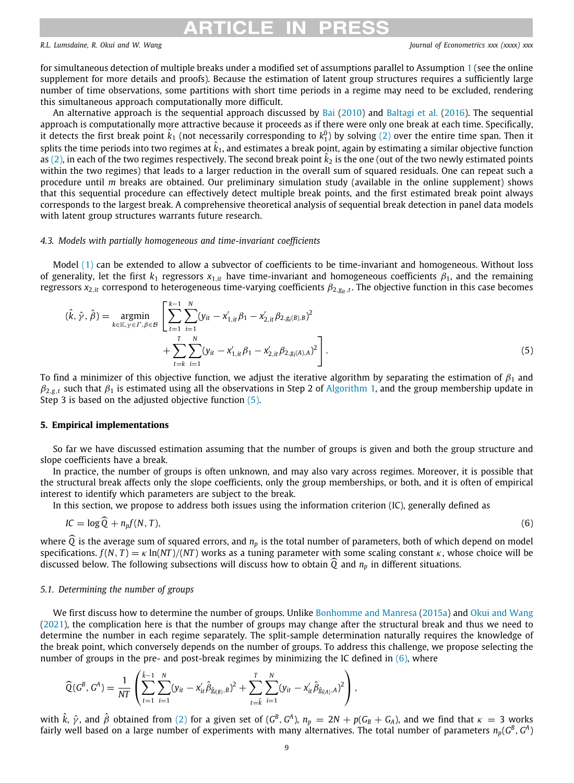#### DRI RTICI F IN

### *R.L. Lumsdaine, R. Okui and W. Wang Journal of Econometrics xxx (xxxx) xxx*

for simultaneous detection of multiple breaks under a modified set of assumptions parallel to Assumption [1](#page-4-2) (see the online supplement for more details and proofs). Because the estimation of latent group structures requires a sufficiently large number of time observations, some partitions with short time periods in a regime may need to be excluded, rendering this simultaneous approach computationally more difficult.

An alternative approach is the sequential approach discussed by [Bai](#page-19-1) [\(2010](#page-19-1)) and [Baltagi et al.](#page-19-2) ([2016\)](#page-19-2). The sequential approach is computationally more attractive because it proceeds as if there were only one break at each time. Specifically, it detects the first break point  $\hat{k}_1$  (not necessarily corresponding to  $k_1^0$ ) by solving ([2\)](#page-3-1) over the entire time span. Then it splits the time periods into two regimes at  $\hat k_1$ , and estimates a break point, again by estimating a similar objective function as ([2](#page-3-1)), in each of the two regimes respectively. The second break point  $\hat{k}_2$  is the one (out of the two newly estimated points within the two regimes) that leads to a larger reduction in the overall sum of squared residuals. One can repeat such a procedure until *m* breaks are obtained. Our preliminary simulation study (available in the online supplement) shows that this sequential procedure can effectively detect multiple break points, and the first estimated break point always corresponds to the largest break. A comprehensive theoretical analysis of sequential break detection in panel data models with latent group structures warrants future research.

### *4.3. Models with partially homogeneous and time-invariant coefficients*

Model ([1](#page-2-3)) can be extended to allow a subvector of coefficients to be time-invariant and homogeneous. Without loss of generality, let the first  $k_1$  regressors  $x_{1,i}$  have time-invariant and homogeneous coefficients  $\beta_1$ , and the remaining regressors  $x_{2,it}$  correspond to heterogeneous time-varying coefficients  $\beta_{2,g_{it},t}.$  The objective function in this case becomes

$$
(\hat{k}, \hat{\gamma}, \hat{\beta}) = \underset{k \in \mathbb{K}, \gamma \in \Gamma, \beta \in \mathcal{B}}{\operatorname{argmin}} \left[ \sum_{t=1}^{k-1} \sum_{i=1}^{N} (y_{it} - x'_{1,it}\beta_1 - x'_{2,it}\beta_{2,g_i(\beta),\beta})^2 + \sum_{t=k}^{T} \sum_{i=1}^{N} (y_{it} - x'_{1,it}\beta_1 - x'_{2,it}\beta_{2,g_i(A),A})^2 \right].
$$
\n(5)

To find a minimizer of this objective function, we adjust the iterative algorithm by separating the estimation of  $\beta_1$  and  $\beta_{2,\text{g},t}$  such that  $\beta_1$  $\beta_1$  is estimated using all the observations in Step 2 of [Algorithm](#page-3-2) 1, and the group membership update in Step 3 is based on the adjusted objective function  $(5)$  $(5)$ .

### **5. Empirical implementations**

So far we have discussed estimation assuming that the number of groups is given and both the group structure and slope coefficients have a break.

In practice, the number of groups is often unknown, and may also vary across regimes. Moreover, it is possible that the structural break affects only the slope coefficients, only the group memberships, or both, and it is often of empirical interest to identify which parameters are subject to the break.

In this section, we propose to address both issues using the information criterion (IC), generally defined as

<span id="page-8-1"></span>
$$
IC = \log \widehat{Q} + n_p f(N, T), \tag{6}
$$

where  $\overline{Q}$  is the average sum of squared errors, and  $n_p$  is the total number of parameters, both of which depend on model specifications.  $f(N, T) = \kappa \ln(NT)/(NT)$  works as a tuning parameter with some scaling constant  $\kappa$ , whose choice will be discussed below. The following subsections will discuss how to obtain  $\hat{Q}$  and  $n_p$  in different situations.

### *5.1. Determining the number of groups*

<span id="page-8-0"></span>We first discuss how to determine the number of groups. Unlike [Bonhomme and Manresa](#page-20-12) ([2015a](#page-20-12)) and [Okui and Wang](#page-20-21) [\(2021\)](#page-20-21), the complication here is that the number of groups may change after the structural break and thus we need to determine the number in each regime separately. The split-sample determination naturally requires the knowledge of the break point, which conversely depends on the number of groups. To address this challenge, we propose selecting the number of groups in the pre- and post-break regimes by minimizing the IC defined in  $(6)$  $(6)$  $(6)$ , where

$$
\widehat{Q}(G^B, G^A) = \frac{1}{NT} \left( \sum_{t=1}^{\hat{k}-1} \sum_{i=1}^N (y_{it} - x_{it}' \hat{\beta}_{\hat{g}_{i(B)},B})^2 + \sum_{t=\hat{k}}^T \sum_{i=1}^N (y_{it} - x_{it}' \hat{\beta}_{\hat{g}_{i(A)},A})^2 \right),
$$

with  $\hat{k}$ ,  $\hat{\gamma}$ , and  $\hat{\beta}$  obtained from ([2](#page-3-1)) for a given set of ( $G^B$ ,  $G^A$ ),  $n_p = 2N + p(G_B + G_A)$ , and we find that  $\kappa = 3$  works fairly well based on a large number of experiments with many alternatives. The total number of parameters  $n_p(G^B,G^A)$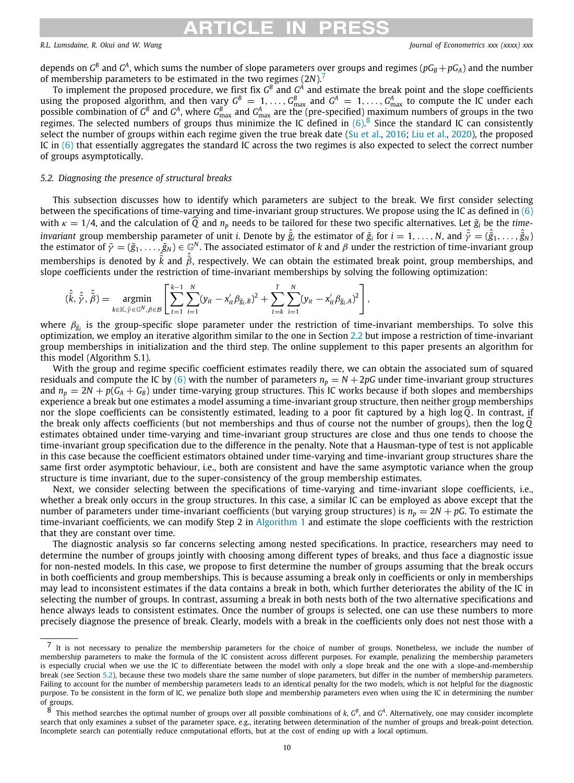## <span id="page-9-2"></span><span id="page-9-1"></span>RTICI E IN

depends on  $G^B$  and  $G^A$ , which sums the number of slope parameters over groups and regimes ( $pG_B+pG_A$ ) and the number of membership parameters to be estimated in the two regimes (2*N*).[7](#page-9-1)

To implement the proposed procedure, we first fix  $G^B$  and  $G^A$  and estimate the break point and the slope coefficients using the proposed algorithm, and then vary  $G^B = 1, \ldots, G^B_{\max}$  and  $G^A = 1, \ldots, G^A_{\max}$  to compute the IC under each possible combination of  $G^B$  and  $G^A$ , where  $G^B_{\max}$  and  $G^A_{\max}$  are the (pre-specified) maximum numbers of groups in the two regimes. The selected numbers of groups thus minimize the IC defined in  $(6)$  $(6)$  $(6)$ .<sup>[8](#page-9-2)</sup> Since the standard IC can consistently select the number of groups within each regime given the true break date ([Su et al.](#page-20-13), [2016](#page-20-13); [Liu et al.,](#page-20-30) [2020](#page-20-30)), the proposed IC in ([6\)](#page-8-1) that essentially aggregates the standard IC across the two regimes is also expected to select the correct number of groups asymptotically.

### *5.2. Diagnosing the presence of structural breaks*

<span id="page-9-0"></span>This subsection discusses how to identify which parameters are subject to the break. We first consider selecting between the specifications of time-varying and time-invariant group structures. We propose using the IC as defined in [\(6\)](#page-8-1) with  $\kappa = 1/4$ , and the calculation of  $\widehat{Q}$  and  $n_p$  needs to be tailored for these two specific alternatives. Let  $\tilde{g}_i$  be the *time* $i$ nvariant group membership parameter of unit  $i$ . Denote by  $\hat{\tilde{g}}_i$  the estimator of  $\tilde{g}_i$  for  $i=1,\ldots,N,$  and  $\hat{\tilde{\gamma}}=(\hat{\tilde{g}}_1,\ldots,\hat{\tilde{g}}_N)$ the estimator of  $\tilde\gamma=(\tilde g_1,\ldots,\tilde g_N)\in\mathbb G^N.$  The associated estimator of  $k$  and  $\beta$  under the restriction of time-invariant group memberships is denoted by  $\hat{\tilde{k}}$  and  $\hat{\tilde{\beta}}$ , respectively. We can obtain the estimated break point, group memberships, and slope coefficients under the restriction of time-invariant memberships by solving the following optimization:

$$
(\hat{\tilde{k}},\hat{\tilde{y}},\hat{\tilde{\beta}})=\underset{k\in\mathbb{K},\tilde{y}\in\mathbb{G}^{N},\beta\in\mathcal{B}}{\operatorname{argmin}}\left[\sum_{t=1}^{k-1}\sum_{i=1}^{N}(y_{it}-x_{it}'\beta_{\tilde{g}_{i},B})^{2}+\sum_{t=k}^{T}\sum_{i=1}^{N}(y_{it}-x_{it}'\beta_{\tilde{g}_{i},A})^{2}\right],
$$

where  $\beta_{\tilde g_i}$  is the group-specific slope parameter under the restriction of time-invariant memberships. To solve this optimization, we employ an iterative algorithm similar to the one in Section [2.2](#page-3-0) but impose a restriction of time-invariant group memberships in initialization and the third step. The online supplement to this paper presents an algorithm for this model (Algorithm S.1).

With the group and regime specific coefficient estimates readily there, we can obtain the associated sum of squared residuals and compute the IC by ([6](#page-8-1)) with the number of parameters  $n_p = N + 2pG$  under time-invariant group structures and  $n_p = 2N + p(G_A + G_B)$  under time-varying group structures. This IC works because if both slopes and memberships experience a break but one estimates a model assuming a time-invariant group structure, then neither group memberships nor the slope coefficients can be consistently estimated, leading to a poor fit captured by a high log  $\widehat{Q}$ . In contrast, if the break only affects coefficients (but not memberships and thus of course not the number of groups), then the log Q estimates obtained under time-varying and time-invariant group structures are close and thus one tends to choose the time-invariant group specification due to the difference in the penalty. Note that a Hausman-type of test is not applicable in this case because the coefficient estimators obtained under time-varying and time-invariant group structures share the same first order asymptotic behaviour, i.e., both are consistent and have the same asymptotic variance when the group structure is time invariant, due to the super-consistency of the group membership estimates.

Next, we consider selecting between the specifications of time-varying and time-invariant slope coefficients, i.e., whether a break only occurs in the group structures. In this case, a similar IC can be employed as above except that the number of parameters under time-invariant coefficients (but varying group structures) is  $n_p = 2N + pG$ . To estimate the time-invariant coefficients, we can modify Step 2 in [Algorithm](#page-3-2) [1](#page-3-2) and estimate the slope coefficients with the restriction that they are constant over time.

The diagnostic analysis so far concerns selecting among nested specifications. In practice, researchers may need to determine the number of groups jointly with choosing among different types of breaks, and thus face a diagnostic issue for non-nested models. In this case, we propose to first determine the number of groups assuming that the break occurs in both coefficients and group memberships. This is because assuming a break only in coefficients or only in memberships may lead to inconsistent estimates if the data contains a break in both, which further deteriorates the ability of the IC in selecting the number of groups. In contrast, assuming a break in both nests both of the two alternative specifications and hence always leads to consistent estimates. Once the number of groups is selected, one can use these numbers to more precisely diagnose the presence of break. Clearly, models with a break in the coefficients only does not nest those with a

 $<sup>7</sup>$  It is not necessary to penalize the membership parameters for the choice of number of groups. Nonetheless, we include the number of</sup> membership parameters to make the formula of the IC consistent across different purposes. For example, penalizing the membership parameters is especially crucial when we use the IC to differentiate between the model with only a slope break and the one with a slope-and-membership break (see Section [5.2\)](#page-9-0), because these two models share the same number of slope parameters, but differ in the number of membership parameters. Failing to account for the number of membership parameters leads to an identical penalty for the two models, which is not helpful for the diagnostic purpose. To be consistent in the form of IC, we penalize both slope and membership parameters even when using the IC in determining the number of groups.

 $8$  This method searches the optimal number of groups over all possible combinations of *k*,  $G^B$ , and  $G^A$ . Alternatively, one may consider incomplete search that only examines a subset of the parameter space, e.g., iterating between determination of the number of groups and break-point detection. Incomplete search can potentially reduce computational efforts, but at the cost of ending up with a local optimum.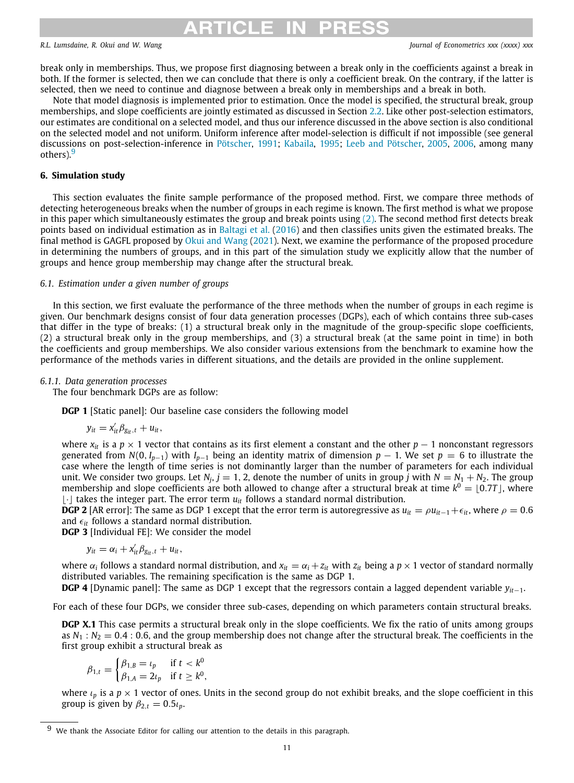# RTICI F IN PRF

*R.L. Lumsdaine, R. Okui and W. Wang Journal of Econometrics xxx (xxxx) xxx*

break only in memberships. Thus, we propose first diagnosing between a break only in the coefficients against a break in both. If the former is selected, then we can conclude that there is only a coefficient break. On the contrary, if the latter is selected, then we need to continue and diagnose between a break only in memberships and a break in both.

Note that model diagnosis is implemented prior to estimation. Once the model is specified, the structural break, group memberships, and slope coefficients are jointly estimated as discussed in Section [2.2](#page-3-0). Like other post-selection estimators, our estimates are conditional on a selected model, and thus our inference discussed in the above section is also conditional on the selected model and not uniform. Uniform inference after model-selection is difficult if not impossible (see general discussions on post-selection-inference in [Pötscher,](#page-20-31) [1991](#page-20-31); [Kabaila,](#page-20-32) [1995](#page-20-32); [Leeb and Pötscher](#page-20-33), [2005,](#page-20-33) [2006](#page-20-34), among many others).<sup>[9](#page-10-1)</sup>

### <span id="page-10-1"></span>**6. Simulation study**

<span id="page-10-0"></span>This section evaluates the finite sample performance of the proposed method. First, we compare three methods of detecting heterogeneous breaks when the number of groups in each regime is known. The first method is what we propose in this paper which simultaneously estimates the group and break points using  $(2)$  $(2)$ . The second method first detects break points based on individual estimation as in [Baltagi et al.](#page-19-2) ([2016\)](#page-19-2) and then classifies units given the estimated breaks. The final method is GAGFL proposed by [Okui and Wang](#page-20-21) [\(2021\)](#page-20-21). Next, we examine the performance of the proposed procedure in determining the numbers of groups, and in this part of the simulation study we explicitly allow that the number of groups and hence group membership may change after the structural break.

### *6.1. Estimation under a given number of groups*

In this section, we first evaluate the performance of the three methods when the number of groups in each regime is given. Our benchmark designs consist of four data generation processes (DGPs), each of which contains three sub-cases that differ in the type of breaks: (1) a structural break only in the magnitude of the group-specific slope coefficients, (2) a structural break only in the group memberships, and (3) a structural break (at the same point in time) in both the coefficients and group memberships. We also consider various extensions from the benchmark to examine how the performance of the methods varies in different situations, and the details are provided in the online supplement.

### *6.1.1. Data generation processes*

The four benchmark DGPs are as follow:

**DGP 1** [Static panel]: Our baseline case considers the following model

$$
y_{it} = x_{it}'\beta_{g_{it},t} + u_{it},
$$

where  $x_i$  is a  $p \times 1$  vector that contains as its first element a constant and the other  $p-1$  nonconstant regressors generated from  $N(0, I_{p-1})$  with  $I_{p-1}$  being an identity matrix of dimension  $p-1$ . We set  $p = 6$  to illustrate the case where the length of time series is not dominantly larger than the number of parameters for each individual unit. We consider two groups. Let  $N_j$ ,  $j = 1, 2$ , denote the number of units in group *j* with  $N = N_1 + N_2$ . The group membership and slope coefficients are both allowed to change after a structural break at time  $k^0 = \lfloor 0.7T \rfloor$ , where ⌊·⌋ takes the integer part. The error term *uit* follows a standard normal distribution.

**DGP 2** [AR error]: The same as DGP 1 except that the error term is autoregressive as  $u_{it} = \rho u_{it-1} + \epsilon_{it}$ , where  $\rho = 0.6$ and  $\epsilon$ <sub>*it*</sub> follows a standard normal distribution.

**DGP 3** [Individual FE]: We consider the model

$$
y_{it} = \alpha_i + x'_{it} \beta_{\text{Sit},t} + u_{it},
$$

where  $\alpha_i$  follows a standard normal distribution, and  $x_{it} = \alpha_i + z_{it}$  with  $z_{it}$  being a  $p \times 1$  vector of standard normally distributed variables. The remaining specification is the same as DGP 1.

**DGP 4** [Dynamic panel]: The same as DGP 1 except that the regressors contain a lagged dependent variable *yit*−1.

For each of these four DGPs, we consider three sub-cases, depending on which parameters contain structural breaks.

**DGP X.1** This case permits a structural break only in the slope coefficients. We fix the ratio of units among groups as  $N_1$ :  $N_2$  = 0.4 : 0.6, and the group membership does not change after the structural break. The coefficients in the first group exhibit a structural break as

$$
\beta_{1,t} = \begin{cases} \beta_{1,B} = \iota_p & \text{if } t < k^0 \\ \beta_{1,A} = 2\iota_p & \text{if } t \ge k^0, \end{cases}
$$

where  $\iota_p$  is a  $p \times 1$  vector of ones. Units in the second group do not exhibit breaks, and the slope coefficient in this group is given by  $\beta_{2,t} = 0.5 \iota_p$ .

We thank the Associate Editor for calling our attention to the details in this paragraph.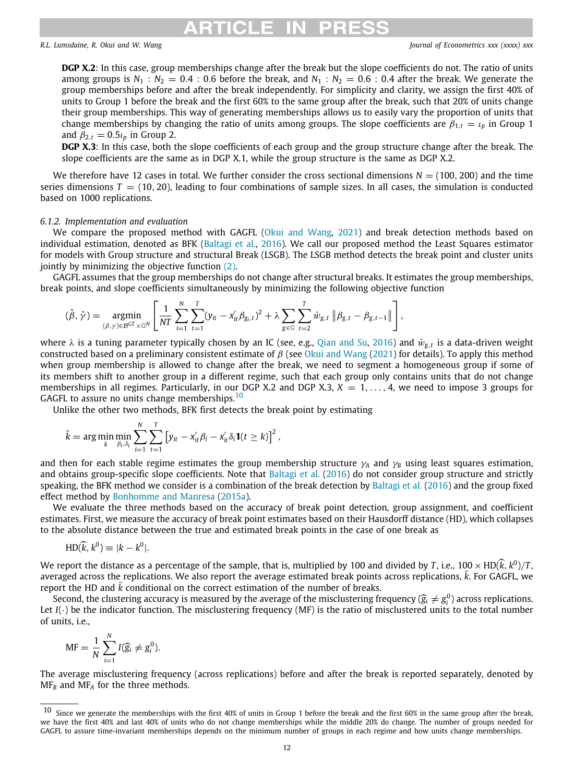## RTICI E

*R.L. Lumsdaine, R. Okui and W. Wang Journal of Econometrics xxx (xxxx) xxx*

**DGP X.2**: In this case, group memberships change after the break but the slope coefficients do not. The ratio of units among groups is  $N_1$ :  $N_2$  = 0.4 : 0.6 before the break, and  $N_1$ :  $N_2$  = 0.6 : 0.4 after the break. We generate the group memberships before and after the break independently. For simplicity and clarity, we assign the first 40% of units to Group 1 before the break and the first 60% to the same group after the break, such that 20% of units change their group memberships. This way of generating memberships allows us to easily vary the proportion of units that change memberships by changing the ratio of units among groups. The slope coefficients are  $\beta_{1,t} = \iota_p$  in Group 1 and  $\beta_{2,t} = 0.5 \iota_p$  in Group 2.

DGP X.3: In this case, both the slope coefficients of each group and the group structure change after the break. The slope coefficients are the same as in DGP X.1, while the group structure is the same as DGP X.2.

We therefore have 12 cases in total. We further consider the cross sectional dimensions  $N = (100, 200)$  and the time series dimensions  $T = (10, 20)$ , leading to four combinations of sample sizes. In all cases, the simulation is conducted based on 1000 replications.

### *6.1.2. Implementation and evaluation*

We compare the proposed method with GAGFL [\(Okui and Wang](#page-20-21), [2021\)](#page-20-21) and break detection methods based on individual estimation, denoted as BFK ([Baltagi et al.,](#page-19-2) [2016](#page-19-2)). We call our proposed method the Least Squares estimator for models with Group structure and structural Break (LSGB). The LSGB method detects the break point and cluster units jointly by minimizing the objective function [\(2](#page-3-1)).

GAGFL assumes that the group memberships do not change after structural breaks. It estimates the group memberships, break points, and slope coefficients simultaneously by minimizing the following objective function

$$
(\hat{\beta},\hat{\gamma})=\underset{(\beta,\gamma)\in\mathcal{B}^{GT}\times\mathbb{G}^N}{\text{argmin}}\left[\frac{1}{NT}\sum_{i=1}^N\sum_{t=1}^T(y_{it}-x_{it}'\beta_{g_i,t})^2+\lambda\sum_{g\in\mathbb{G}}\sum_{t=2}^T\dot{w}_{g,t}\left\|\beta_{g,t}-\beta_{g,t-1}\right\|\right],
$$

where  $\lambda$  is a tuning parameter typically chosen by an IC (see, e.g., [Qian and Su,](#page-20-19) [2016\)](#page-20-19) and  $\dot{w}_{g,t}$  is a data-driven weight constructed based on a preliminary consistent estimate of  $\beta$  (see [Okui and Wang](#page-20-21) ([2021](#page-20-21)) for details). To apply this method when group membership is allowed to change after the break, we need to segment a homogeneous group if some of its members shift to another group in a different regime, such that each group only contains units that do not change memberships in all regimes. Particularly, in our DGP X.2 and DGP X.3,  $X = 1, \ldots, 4$ , we need to impose 3 groups for GAGFL to assure no units change memberships.<sup>[10](#page-11-0)</sup>

Unlike the other two methods, BFK first detects the break point by estimating

<span id="page-11-0"></span>
$$
\hat{k} = \arg\min_{k} \min_{\beta_i, \delta_i} \sum_{i=1}^N \sum_{t=1}^T \left[ y_{it} - x_{it}' \beta_i - x_{it}' \delta_i \mathbf{1}(t \geq k) \right]^2,
$$

and then for each stable regime estimates the group membership structure  $\gamma_A$  and  $\gamma_B$  using least squares estimation, and obtains group-specific slope coefficients. Note that [Baltagi et al.](#page-19-2) ([2016\)](#page-19-2) do not consider group structure and strictly speaking, the BFK method we consider is a combination of the break detection by [Baltagi et al.](#page-19-2) ([2016](#page-19-2)) and the group fixed effect method by [Bonhomme and Manresa](#page-20-12) ([2015a](#page-20-12)).

We evaluate the three methods based on the accuracy of break point detection, group assignment, and coefficient estimates. First, we measure the accuracy of break point estimates based on their Hausdorff distance (HD), which collapses to the absolute distance between the true and estimated break points in the case of one break as

$$
HD(\widehat{k}, k^0) \equiv |k - k^0|.
$$

We report the distance as a percentage of the sample, that is, multiplied by 100 and divided by *T*, i.e.,  $100 \times HD(\hat{k}, k^0)/T$ , and  $k$  and  $k$  are  $k$  and  $k$  and  $k$  and  $k$  and  $k$  and  $k$  and  $k$  and  $k$  and  $k$  and  $k$ averaged across the replications. We also report the average estimated break points across replications, *k*. For GAGFL, we report the HD and *k* conditional on the correct estimation of the number of breaks.

Second, the clustering accuracy is measured by the average of the misclustering frequency  $(\hat{g}_i \neq g_i^0)$  across replications.<br>*I(,)* be the indicator function. The misclustering frequency (MF) is the ratio of miscluster Let *I*(·) be the indicator function. The misclustering frequency (MF) is the ratio of misclustered units to the total number of units, i.e.,

$$
MF = \frac{1}{N} \sum_{i=1}^{N} I(\widehat{g}_i \neq g_i^0).
$$

The average misclustering frequency (across replications) before and after the break is reported separately, denoted by MF*<sup>B</sup>* and MF*<sup>A</sup>* for the three methods.

<sup>10</sup> Since we generate the memberships with the first 40% of units in Group 1 before the break and the first 60% in the same group after the break, we have the first 40% and last 40% of units who do not change memberships while the middle 20% do change. The number of groups needed for GAGFL to assure time-invariant memberships depends on the minimum number of groups in each regime and how units change memberships.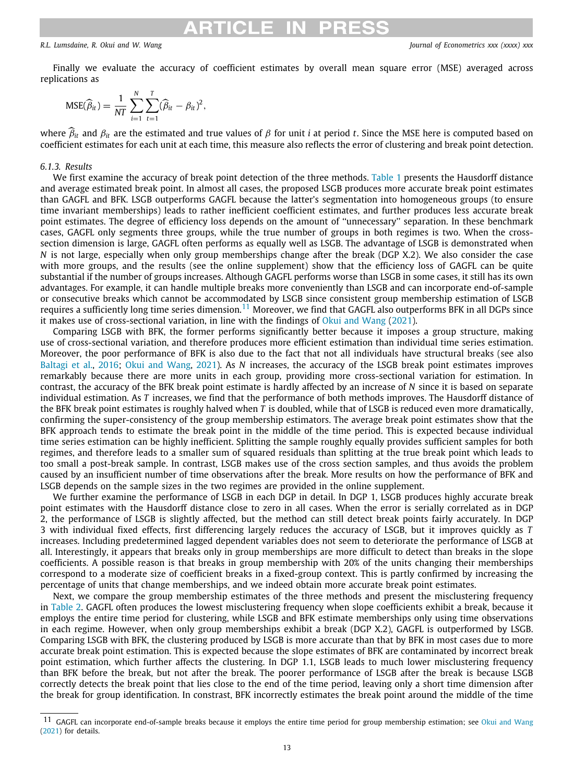### **ARTICLE IN PRES:**

*R.L. Lumsdaine, R. Okui and W. Wang Journal of Econometrics xxx (xxxx) xxx*

Finally we evaluate the accuracy of coefficient estimates by overall mean square error (MSE) averaged across replications as

$$
MSE(\widehat{\beta}_{it}) = \frac{1}{NT} \sum_{i=1}^{N} \sum_{t=1}^{T} (\widehat{\beta}_{it} - \beta_{it})^2,
$$

where  $\hat{\beta}_{it}$  and  $\beta_{it}$  are the estimated and true values of  $\beta$  for unit *i* at period *t*. Since the MSE here is computed based on coefficient estimates for each unit at each time, this measure also reflects the error of clustering and break point detection.

### *6.1.3. Results*

We first examine the accuracy of break point detection of the three methods. [Table](#page-13-0) [1](#page-13-0) presents the Hausdorff distance and average estimated break point. In almost all cases, the proposed LSGB produces more accurate break point estimates than GAGFL and BFK. LSGB outperforms GAGFL because the latter's segmentation into homogeneous groups (to ensure time invariant memberships) leads to rather inefficient coefficient estimates, and further produces less accurate break point estimates. The degree of efficiency loss depends on the amount of ''unnecessary'' separation. In these benchmark cases, GAGFL only segments three groups, while the true number of groups in both regimes is two. When the crosssection dimension is large, GAGFL often performs as equally well as LSGB. The advantage of LSGB is demonstrated when *N* is not large, especially when only group memberships change after the break (DGP X.2). We also consider the case with more groups, and the results (see the online supplement) show that the efficiency loss of GAGFL can be quite substantial if the number of groups increases. Although GAGFL performs worse than LSGB in some cases, it still has its own advantages. For example, it can handle multiple breaks more conveniently than LSGB and can incorporate end-of-sample or consecutive breaks which cannot be accommodated by LSGB since consistent group membership estimation of LSGB requires a sufficiently long time series dimension.<sup>[11](#page-12-0)</sup> Moreover, we find that GAGFL also outperforms BFK in all DGPs since it makes use of cross-sectional variation, in line with the findings of [Okui and Wang](#page-20-21) ([2021](#page-20-21)).

<span id="page-12-0"></span>Comparing LSGB with BFK, the former performs significantly better because it imposes a group structure, making use of cross-sectional variation, and therefore produces more efficient estimation than individual time series estimation. Moreover, the poor performance of BFK is also due to the fact that not all individuals have structural breaks (see also [Baltagi et al.,](#page-19-2) [2016;](#page-19-2) [Okui and Wang,](#page-20-21) [2021\)](#page-20-21). As *N* increases, the accuracy of the LSGB break point estimates improves remarkably because there are more units in each group, providing more cross-sectional variation for estimation. In contrast, the accuracy of the BFK break point estimate is hardly affected by an increase of *N* since it is based on separate individual estimation. As *T* increases, we find that the performance of both methods improves. The Hausdorff distance of the BFK break point estimates is roughly halved when *T* is doubled, while that of LSGB is reduced even more dramatically, confirming the super-consistency of the group membership estimators. The average break point estimates show that the BFK approach tends to estimate the break point in the middle of the time period. This is expected because individual time series estimation can be highly inefficient. Splitting the sample roughly equally provides sufficient samples for both regimes, and therefore leads to a smaller sum of squared residuals than splitting at the true break point which leads to too small a post-break sample. In contrast, LSGB makes use of the cross section samples, and thus avoids the problem caused by an insufficient number of time observations after the break. More results on how the performance of BFK and LSGB depends on the sample sizes in the two regimes are provided in the online supplement.

We further examine the performance of LSGB in each DGP in detail. In DGP 1, LSGB produces highly accurate break point estimates with the Hausdorff distance close to zero in all cases. When the error is serially correlated as in DGP 2, the performance of LSGB is slightly affected, but the method can still detect break points fairly accurately. In DGP 3 with individual fixed effects, first differencing largely reduces the accuracy of LSGB, but it improves quickly as *T* increases. Including predetermined lagged dependent variables does not seem to deteriorate the performance of LSGB at all. Interestingly, it appears that breaks only in group memberships are more difficult to detect than breaks in the slope coefficients. A possible reason is that breaks in group membership with 20% of the units changing their memberships correspond to a moderate size of coefficient breaks in a fixed-group context. This is partly confirmed by increasing the percentage of units that change memberships, and we indeed obtain more accurate break point estimates.

Next, we compare the group membership estimates of the three methods and present the misclustering frequency in [Table](#page-14-0) [2.](#page-14-0) GAGFL often produces the lowest misclustering frequency when slope coefficients exhibit a break, because it employs the entire time period for clustering, while LSGB and BFK estimate memberships only using time observations in each regime. However, when only group memberships exhibit a break (DGP X.2), GAGFL is outperformed by LSGB. Comparing LSGB with BFK, the clustering produced by LSGB is more accurate than that by BFK in most cases due to more accurate break point estimation. This is expected because the slope estimates of BFK are contaminated by incorrect break point estimation, which further affects the clustering. In DGP 1.1, LSGB leads to much lower misclustering frequency than BFK before the break, but not after the break. The poorer performance of LSGB after the break is because LSGB correctly detects the break point that lies close to the end of the time period, leaving only a short time dimension after the break for group identification. In constrast, BFK incorrectly estimates the break point around the middle of the time

<sup>11</sup> GAGFL can incorporate end-of-sample breaks because it employs the entire time period for group membership estimation; see [Okui and Wang](#page-20-21) ([2021](#page-20-21)) for details.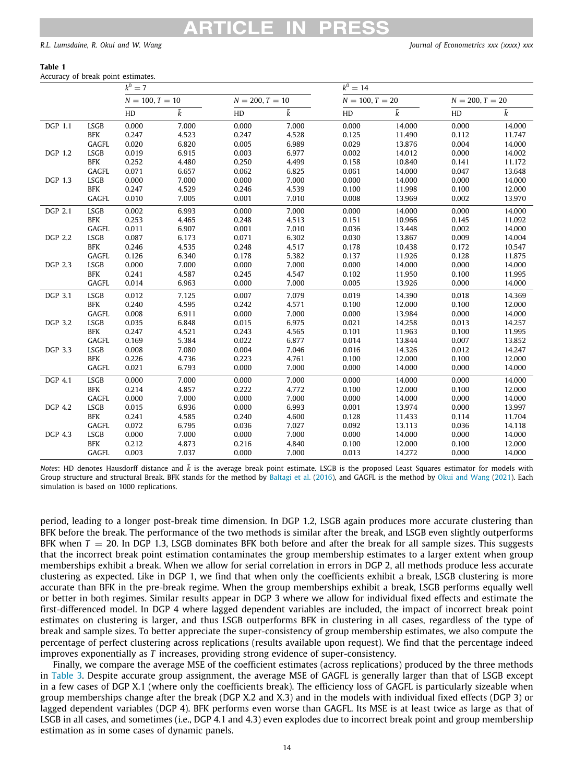### **Table 1**

<span id="page-13-0"></span>Accuracy of break point estimates.

|                |             | $k^0 = 7$         |       |                   |           | $k^0 = 14$        |        |                   |           |  |  |  |  |
|----------------|-------------|-------------------|-------|-------------------|-----------|-------------------|--------|-------------------|-----------|--|--|--|--|
|                |             | $N = 100, T = 10$ |       | $N = 200, T = 10$ |           | $N = 100, T = 20$ |        | $N = 200, T = 20$ |           |  |  |  |  |
|                |             | HD                | k     | HD                | $\bar{k}$ | HD                | k      | HD                | $\bar{k}$ |  |  |  |  |
| DGP 1.1        | <b>LSGB</b> | 0.000             | 7.000 | 0.000             | 7.000     | 0.000             | 14.000 | 0.000             | 14.000    |  |  |  |  |
|                | <b>BFK</b>  | 0.247             | 4.523 | 0.247             | 4.528     | 0.125             | 11.490 | 0.112             | 11.747    |  |  |  |  |
|                | GAGFL       | 0.020             | 6.820 | 0.005             | 6.989     | 0.029             | 13.876 | 0.004             | 14.000    |  |  |  |  |
| DGP 1.2        | LSGB        | 0.019             | 6.915 | 0.003             | 6.977     | 0.002             | 14.012 | 0.000             | 14.002    |  |  |  |  |
|                | BFK         | 0.252             | 4.480 | 0.250             | 4.499     | 0.158             | 10.840 | 0.141             | 11.172    |  |  |  |  |
|                | GAGFL       | 0.071             | 6.657 | 0.062             | 6.825     | 0.061             | 14.000 | 0.047             | 13.648    |  |  |  |  |
| DGP 1.3        | <b>LSGB</b> | 0.000             | 7.000 | 0.000             | 7.000     | 0.000             | 14.000 | 0.000             | 14.000    |  |  |  |  |
|                | <b>BFK</b>  | 0.247             | 4.529 | 0.246             | 4.539     | 0.100             | 11.998 | 0.100             | 12.000    |  |  |  |  |
|                | GAGFL       | 0.010             | 7.005 | 0.001             | 7.010     | 0.008             | 13.969 | 0.002             | 13.970    |  |  |  |  |
| <b>DGP 2.1</b> | <b>LSGB</b> | 0.002             | 6.993 | 0.000             | 7.000     | 0.000             | 14.000 | 0.000             | 14.000    |  |  |  |  |
|                | BFK         | 0.253             | 4.465 | 0.248             | 4.513     | 0.151             | 10.966 | 0.145             | 11.092    |  |  |  |  |
|                | GAGFL       | 0.011             | 6.907 | 0.001             | 7.010     | 0.036             | 13.448 | 0.002             | 14.000    |  |  |  |  |
| <b>DGP 2.2</b> | <b>LSGB</b> | 0.087             | 6.173 | 0.071             | 6.302     | 0.030             | 13.867 | 0.009             | 14.004    |  |  |  |  |
|                | BFK         | 0.246             | 4.535 | 0.248             | 4.517     | 0.178             | 10.438 | 0.172             | 10.547    |  |  |  |  |
|                | GAGFL       | 0.126             | 6.340 | 0.178             | 5.382     | 0.137             | 11.926 | 0.128             | 11.875    |  |  |  |  |
| <b>DGP 2.3</b> | <b>LSGB</b> | 0.000             | 7.000 | 0.000             | 7.000     | 0.000             | 14.000 | 0.000             | 14.000    |  |  |  |  |
|                | <b>BFK</b>  | 0.241             | 4.587 | 0.245             | 4.547     | 0.102             | 11.950 | 0.100             | 11.995    |  |  |  |  |
|                | GAGFL       | 0.014             | 6.963 | 0.000             | 7.000     | 0.005             | 13.926 | 0.000             | 14.000    |  |  |  |  |
| <b>DGP 3.1</b> | <b>LSGB</b> | 0.012             | 7.125 | 0.007             | 7.079     | 0.019             | 14.390 | 0.018             | 14.369    |  |  |  |  |
|                | <b>BFK</b>  | 0.240             | 4.595 | 0.242             | 4.571     | 0.100             | 12.000 | 0.100             | 12.000    |  |  |  |  |
|                | GAGFL       | 0.008             | 6.911 | 0.000             | 7.000     | 0.000             | 13.984 | 0.000             | 14.000    |  |  |  |  |
| <b>DGP 3.2</b> | LSGB        | 0.035             | 6.848 | 0.015             | 6.975     | 0.021             | 14.258 | 0.013             | 14.257    |  |  |  |  |
|                | BFK         | 0.247             | 4.521 | 0.243             | 4.565     | 0.101             | 11.963 | 0.100             | 11.995    |  |  |  |  |
|                | GAGFL       | 0.169             | 5.384 | 0.022             | 6.877     | 0.014             | 13.844 | 0.007             | 13.852    |  |  |  |  |
| <b>DGP 3.3</b> | <b>LSGB</b> | 0.008             | 7.080 | 0.004             | 7.046     | 0.016             | 14.326 | 0.012             | 14.247    |  |  |  |  |
|                | BFK         | 0.226             | 4.736 | 0.223             | 4.761     | 0.100             | 12.000 | 0.100             | 12.000    |  |  |  |  |
|                | GAGFL       | 0.021             | 6.793 | 0.000             | 7.000     | 0.000             | 14.000 | 0.000             | 14.000    |  |  |  |  |
| <b>DGP 4.1</b> | <b>LSGB</b> | 0.000             | 7.000 | 0.000             | 7.000     | 0.000             | 14.000 | 0.000             | 14.000    |  |  |  |  |
|                | BFK         | 0.214             | 4.857 | 0.222             | 4.772     | 0.100             | 12.000 | 0.100             | 12.000    |  |  |  |  |
|                | GAGFL       | 0.000             | 7.000 | 0.000             | 7.000     | 0.000             | 14.000 | 0.000             | 14.000    |  |  |  |  |
| <b>DGP 4.2</b> | LSGB        | 0.015             | 6.936 | 0.000             | 6.993     | 0.001             | 13.974 | 0.000             | 13.997    |  |  |  |  |
|                | <b>BFK</b>  | 0.241             | 4.585 | 0.240             | 4.600     | 0.128             | 11.433 | 0.114             | 11.704    |  |  |  |  |
|                | GAGFL       | 0.072             | 6.795 | 0.036             | 7.027     | 0.092             | 13.113 | 0.036             | 14.118    |  |  |  |  |
| <b>DGP 4.3</b> | <b>LSGB</b> | 0.000             | 7.000 | 0.000             | 7.000     | 0.000             | 14.000 | 0.000             | 14.000    |  |  |  |  |
|                | <b>BFK</b>  | 0.212             | 4.873 | 0.216             | 4.840     | 0.100             | 12.000 | 0.100             | 12.000    |  |  |  |  |
|                | GAGFL       | 0.003             | 7.037 | 0.000             | 7.000     | 0.013             | 14.272 | 0.000             | 14.000    |  |  |  |  |

*Notes*: HD denotes Hausdorff distance and  $\bar{k}$  is the average break point estimate. LSGB is the proposed Least Squares estimator for models with Group structure and structural Break. BFK stands for the method by [Baltagi et al.](#page-19-2) ([2016](#page-19-2)), and GAGFL is the method by [Okui and Wang](#page-20-21) ([2021\)](#page-20-21). Each simulation is based on 1000 replications.

period, leading to a longer post-break time dimension. In DGP 1.2, LSGB again produces more accurate clustering than BFK before the break. The performance of the two methods is similar after the break, and LSGB even slightly outperforms BFK when  $T = 20$ . In DGP 1.3, LSGB dominates BFK both before and after the break for all sample sizes. This suggests that the incorrect break point estimation contaminates the group membership estimates to a larger extent when group memberships exhibit a break. When we allow for serial correlation in errors in DGP 2, all methods produce less accurate clustering as expected. Like in DGP 1, we find that when only the coefficients exhibit a break, LSGB clustering is more accurate than BFK in the pre-break regime. When the group memberships exhibit a break, LSGB performs equally well or better in both regimes. Similar results appear in DGP 3 where we allow for individual fixed effects and estimate the first-differenced model. In DGP 4 where lagged dependent variables are included, the impact of incorrect break point estimates on clustering is larger, and thus LSGB outperforms BFK in clustering in all cases, regardless of the type of break and sample sizes. To better appreciate the super-consistency of group membership estimates, we also compute the percentage of perfect clustering across replications (results available upon request). We find that the percentage indeed improves exponentially as *T* increases, providing strong evidence of super-consistency.

Finally, we compare the average MSE of the coefficient estimates (across replications) produced by the three methods in [Table](#page-14-1) [3.](#page-14-1) Despite accurate group assignment, the average MSE of GAGFL is generally larger than that of LSGB except in a few cases of DGP X.1 (where only the coefficients break). The efficiency loss of GAGFL is particularly sizeable when group memberships change after the break (DGP X.2 and X.3) and in the models with individual fixed effects (DGP 3) or lagged dependent variables (DGP 4). BFK performs even worse than GAGFL. Its MSE is at least twice as large as that of LSGB in all cases, and sometimes (i.e., DGP 4.1 and 4.3) even explodes due to incorrect break point and group membership estimation as in some cases of dynamic panels.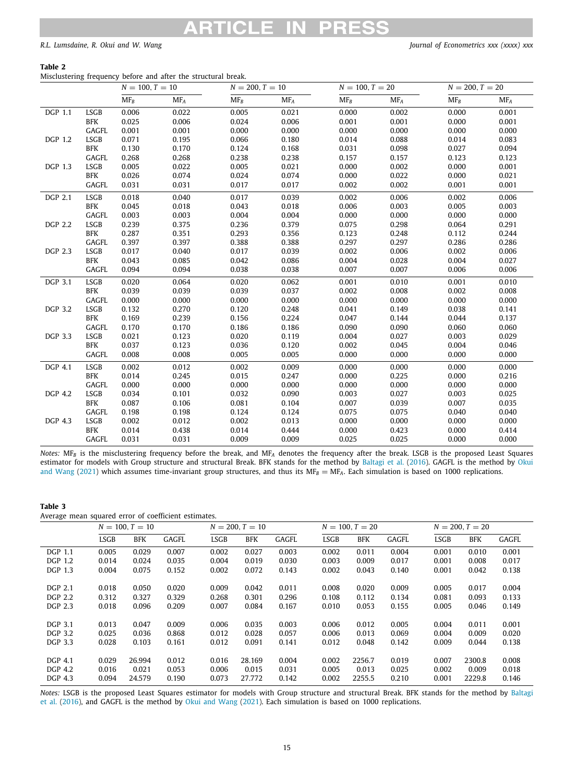### **Table 2**

<span id="page-14-0"></span>Misclustering frequency before and after the structural break.

|                |              | $N = 100, T = 10$ |                 | $N = 200, T = 10$ |                 | $N = 100, T = 20$ |                 | $N = 200, T = 20$        |                 |
|----------------|--------------|-------------------|-----------------|-------------------|-----------------|-------------------|-----------------|--------------------------|-----------------|
|                |              | $MF_B$            | MF <sub>A</sub> | $MF_B$            | MF <sub>A</sub> | $MF_B$            | MF <sub>A</sub> | $\overline{\text{MF}_B}$ | MF <sub>A</sub> |
| DGP 1.1        | <b>LSGB</b>  | 0.006             | 0.022           | 0.005             | 0.021           | 0.000             | 0.002           | 0.000                    | 0.001           |
|                | <b>BFK</b>   | 0.025             | 0.006           | 0.024             | 0.006           | 0.001             | 0.001           | 0.000                    | 0.001           |
|                | <b>GAGFL</b> | 0.001             | 0.001           | 0.000             | 0.000           | 0.000             | 0.000           | 0.000                    | 0.000           |
| <b>DGP 1.2</b> | LSGB         | 0.071             | 0.195           | 0.066             | 0.180           | 0.014             | 0.088           | 0.014                    | 0.083           |
|                | <b>BFK</b>   | 0.130             | 0.170           | 0.124             | 0.168           | 0.031             | 0.098           | 0.027                    | 0.094           |
|                | GAGFL        | 0.268             | 0.268           | 0.238             | 0.238           | 0.157             | 0.157           | 0.123                    | 0.123           |
| DGP 1.3        | LSGB         | 0.005             | 0.022           | 0.005             | 0.021           | 0.000             | 0.002           | 0.000                    | 0.001           |
|                | <b>BFK</b>   | 0.026             | 0.074           | 0.024             | 0.074           | 0.000             | 0.022           | 0.000                    | 0.021           |
|                | GAGFL        | 0.031             | 0.031           | 0.017             | 0.017           | 0.002             | 0.002           | 0.001                    | 0.001           |
| <b>DGP 2.1</b> | <b>LSGB</b>  | 0.018             | 0.040           | 0.017             | 0.039           | 0.002             | 0.006           | 0.002                    | 0.006           |
|                | <b>BFK</b>   | 0.045             | 0.018           | 0.043             | 0.018           | 0.006             | 0.003           | 0.005                    | 0.003           |
|                | GAGFL        | 0.003             | 0.003           | 0.004             | 0.004           | 0.000             | 0.000           | 0.000                    | 0.000           |
| <b>DGP 2.2</b> | <b>LSGB</b>  | 0.239             | 0.375           | 0.236             | 0.379           | 0.075             | 0.298           | 0.064                    | 0.291           |
|                | <b>BFK</b>   | 0.287             | 0.351           | 0.293             | 0.356           | 0.123             | 0.248           | 0.112                    | 0.244           |
|                | GAGFL        | 0.397             | 0.397           | 0.388             | 0.388           | 0.297             | 0.297           | 0.286                    | 0.286           |
| <b>DGP 2.3</b> | <b>LSGB</b>  | 0.017             | 0.040           | 0.017             | 0.039           | 0.002             | 0.006           | 0.002                    | 0.006           |
|                | <b>BFK</b>   | 0.043             | 0.085           | 0.042             | 0.086           | 0.004             | 0.028           | 0.004                    | 0.027           |
|                | GAGFL        | 0.094             | 0.094           | 0.038             | 0.038           | 0.007             | 0.007           | 0.006                    | 0.006           |
| <b>DGP 3.1</b> | <b>LSGB</b>  | 0.020             | 0.064           | 0.020             | 0.062           | 0.001             | 0.010           | 0.001                    | 0.010           |
|                | <b>BFK</b>   | 0.039             | 0.039           | 0.039             | 0.037           | 0.002             | 0.008           | 0.002                    | 0.008           |
|                | GAGFL        | 0.000             | 0.000           | 0.000             | 0.000           | 0.000             | 0.000           | 0.000                    | 0.000           |
| <b>DGP 3.2</b> | LSGB         | 0.132             | 0.270           | 0.120             | 0.248           | 0.041             | 0.149           | 0.038                    | 0.141           |
|                | <b>BFK</b>   | 0.169             | 0.239           | 0.156             | 0.224           | 0.047             | 0.144           | 0.044                    | 0.137           |
|                | GAGFL        | 0.170             | 0.170           | 0.186             | 0.186           | 0.090             | 0.090           | 0.060                    | 0.060           |
| <b>DGP 3.3</b> | LSGB         | 0.021             | 0.123           | 0.020             | 0.119           | 0.004             | 0.027           | 0.003                    | 0.029           |
|                | BFK          | 0.037             | 0.123           | 0.036             | 0.120           | 0.002             | 0.045           | 0.004                    | 0.046           |
|                | GAGFL        | 0.008             | 0.008           | 0.005             | 0.005           | 0.000             | 0.000           | 0.000                    | 0.000           |
| <b>DGP 4.1</b> | <b>LSGB</b>  | 0.002             | 0.012           | 0.002             | 0.009           | 0.000             | 0.000           | 0.000                    | 0.000           |
|                | <b>BFK</b>   | 0.014             | 0.245           | 0.015             | 0.247           | 0.000             | 0.225           | 0.000                    | 0.216           |
|                | GAGFL        | 0.000             | 0.000           | 0.000             | 0.000           | 0.000             | 0.000           | 0.000                    | 0.000           |
| <b>DGP 4.2</b> | LSGB         | 0.034             | 0.101           | 0.032             | 0.090           | 0.003             | 0.027           | 0.003                    | 0.025           |
|                | <b>BFK</b>   | 0.087             | 0.106           | 0.081             | 0.104           | 0.007             | 0.039           | 0.007                    | 0.035           |
|                | GAGFL        | 0.198             | 0.198           | 0.124             | 0.124           | 0.075             | 0.075           | 0.040                    | 0.040           |
| <b>DGP 4.3</b> | LSGB         | 0.002             | 0.012           | 0.002             | 0.013           | 0.000             | 0.000           | 0.000                    | 0.000           |
|                | BFK          | 0.014             | 0.438           | 0.014             | 0.444           | 0.000             | 0.423           | 0.000                    | 0.414           |
|                | GAGFL        | 0.031             | 0.031           | 0.009             | 0.009           | 0.025             | 0.025           | 0.000                    | 0.000           |

*Notes:* MF*<sup>B</sup>* is the misclustering frequency before the break, and MF*<sup>A</sup>* denotes the frequency after the break. LSGB is the proposed Least Squares estimator for models with Group structure and structural Break. BFK stands for the method by [Baltagi et al.](#page-19-2) ([2016\)](#page-19-2). GAGFL is the method by [Okui](#page-20-21) [and Wang](#page-20-21) ([2021](#page-20-21)) which assumes time-invariant group structures, and thus its  $MF<sub>B</sub> = MF<sub>A</sub>$ . Each simulation is based on 1000 replications.

### **Table 3**

<span id="page-14-1"></span>Average mean squared error of coefficient estimates.

|                |             | $N = 100, T = 10$ |       |             | $N = 200, T = 10$ |              |             | $N = 100, T = 20$ |              | $N = 200, T = 20$ |            |       |
|----------------|-------------|-------------------|-------|-------------|-------------------|--------------|-------------|-------------------|--------------|-------------------|------------|-------|
|                | <b>LSGB</b> | BFK               | GAGFL | <b>LSGB</b> | <b>BFK</b>        | <b>GAGFL</b> | <b>LSGB</b> | <b>BFK</b>        | <b>GAGFL</b> | <b>LSGB</b>       | <b>BFK</b> | GAGFL |
| DGP 1.1        | 0.005       | 0.029             | 0.007 | 0.002       | 0.027             | 0.003        | 0.002       | 0.011             | 0.004        | 0.001             | 0.010      | 0.001 |
| DGP 1.2        | 0.014       | 0.024             | 0.035 | 0.004       | 0.019             | 0.030        | 0.003       | 0.009             | 0.017        | 0.001             | 0.008      | 0.017 |
| DGP 1.3        | 0.004       | 0.075             | 0.152 | 0.002       | 0.072             | 0.143        | 0.002       | 0.043             | 0.140        | 0.001             | 0.042      | 0.138 |
|                |             |                   |       |             |                   |              |             |                   |              |                   |            |       |
| <b>DGP 2.1</b> | 0.018       | 0.050             | 0.020 | 0.009       | 0.042             | 0.011        | 0.008       | 0.020             | 0.009        | 0.005             | 0.017      | 0.004 |
| DGP 2.2        | 0.312       | 0.327             | 0.329 | 0.268       | 0.301             | 0.296        | 0.108       | 0.112             | 0.134        | 0.081             | 0.093      | 0.133 |
| DGP 2.3        | 0.018       | 0.096             | 0.209 | 0.007       | 0.084             | 0.167        | 0.010       | 0.053             | 0.155        | 0.005             | 0.046      | 0.149 |
|                |             |                   |       |             |                   |              |             |                   |              |                   |            |       |
| <b>DGP 3.1</b> | 0.013       | 0.047             | 0.009 | 0.006       | 0.035             | 0.003        | 0.006       | 0.012             | 0.005        | 0.004             | 0.011      | 0.001 |
| DGP 3.2        | 0.025       | 0.036             | 0.868 | 0.012       | 0.028             | 0.057        | 0.006       | 0.013             | 0.069        | 0.004             | 0.009      | 0.020 |
| DGP 3.3        | 0.028       | 0.103             | 0.161 | 0.012       | 0.091             | 0.141        | 0.012       | 0.048             | 0.142        | 0.009             | 0.044      | 0.138 |
|                |             |                   |       |             |                   |              |             |                   |              |                   |            |       |
| <b>DGP 4.1</b> | 0.029       | 26.994            | 0.012 | 0.016       | 28.169            | 0.004        | 0.002       | 2256.7            | 0.019        | 0.007             | 2300.8     | 0.008 |
| DGP 4.2        | 0.016       | 0.021             | 0.053 | 0.006       | 0.015             | 0.031        | 0.005       | 0.013             | 0.025        | 0.002             | 0.009      | 0.018 |
| DGP 4.3        | 0.094       | 24.579            | 0.190 | 0.073       | 27.772            | 0.142        | 0.002       | 2255.5            | 0.210        | 0.001             | 2229.8     | 0.146 |

*Notes:* LSGB is the proposed Least Squares estimator for models with Group structure and structural Break. BFK stands for the method by [Baltagi](#page-19-2) [et al.](#page-19-2) [\(2016\)](#page-19-2), and GAGFL is the method by [Okui and Wang](#page-20-21) ([2021\)](#page-20-21). Each simulation is based on 1000 replications.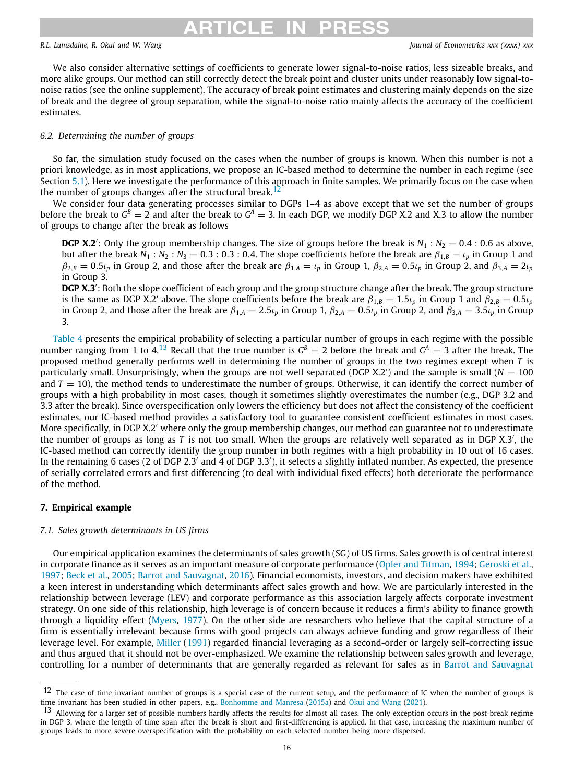# <span id="page-15-1"></span>ARTICI F IN PRI

### *R.L. Lumsdaine, R. Okui and W. Wang Journal of Econometrics xxx (xxxx) xxx*

We also consider alternative settings of coefficients to generate lower signal-to-noise ratios, less sizeable breaks, and more alike groups. Our method can still correctly detect the break point and cluster units under reasonably low signal-tonoise ratios (see the online supplement). The accuracy of break point estimates and clustering mainly depends on the size of break and the degree of group separation, while the signal-to-noise ratio mainly affects the accuracy of the coefficient estimates.

### *6.2. Determining the number of groups*

So far, the simulation study focused on the cases when the number of groups is known. When this number is not a priori knowledge, as in most applications, we propose an IC-based method to determine the number in each regime (see Section [5.1](#page-8-0)). Here we investigate the performance of this approach in finite samples. We primarily focus on the case when the number of groups changes after the structural break.<sup>[12](#page-15-1)</sup>

We consider four data generating processes similar to DGPs 1–4 as above except that we set the number of groups before the break to  $G^B=2$  and after the break to  $G^A=3$ . In each DGP, we modify DGP X.2 and X.3 to allow the number of groups to change after the break as follows

**DGP X.2'**: Only the group membership changes. The size of groups before the break is  $N_1 : N_2 = 0.4 : 0.6$  as above, but after the break  $N_1 : N_2 : N_3 = 0.3 : 0.3 : 0.4$ . The slope coefficients before the break are  $\beta_{1,B} = \iota_p$  in Group 1 and  $\beta_{2,B}$  = 0.5 $\iota_p$  in Group 2, and those after the break are  $\beta_{1,A} = \iota_p$  in Group 1,  $\beta_{2,A}$  = 0.5 $\iota_p$  in Group 2, and  $\beta_{3,A} = 2\iota_p$ in Group 3.

<span id="page-15-2"></span>**DGP X.3**′ : Both the slope coefficient of each group and the group structure change after the break. The group structure is the same as DGP X.2' above. The slope coefficients before the break are  $\beta_{1,B}=1.5\iota_p$  in Group 1 and  $\beta_{2,B}=0.5\iota_p$ in Group 2, and those after the break are  $\beta_{1,A} = 2.5\iota_p$  in Group 1,  $\beta_{2,A} = 0.5\iota_p$  in Group 2, and  $\beta_{3,A} = 3.5\iota_p$  in Group 3.

[Table](#page-16-0) [4](#page-16-0) presents the empirical probability of selecting a particular number of groups in each regime with the possible number ranging from 1 to 4.<sup>[13](#page-15-2)</sup> Recall that the true number is  $G^B = 2$  before the break and  $G^A = 3$  after the break. The proposed method generally performs well in determining the number of groups in the two regimes except when *T* is particularly small. Unsurprisingly, when the groups are not well separated (DGP X.2′ ) and the sample is small (*N* = 100 and  $T = 10$ ), the method tends to underestimate the number of groups. Otherwise, it can identify the correct number of groups with a high probability in most cases, though it sometimes slightly overestimates the number (e.g., DGP 3.2 and 3.3 after the break). Since overspecification only lowers the efficiency but does not affect the consistency of the coefficient estimates, our IC-based method provides a satisfactory tool to guarantee consistent coefficient estimates in most cases. More specifically, in DGP X.2′ where only the group membership changes, our method can guarantee not to underestimate the number of groups as long as *T* is not too small. When the groups are relatively well separated as in DGP X.3′ , the IC-based method can correctly identify the group number in both regimes with a high probability in 10 out of 16 cases. In the remaining 6 cases (2 of DGP 2.3<sup>'</sup> and 4 of DGP 3.3'), it selects a slightly inflated number. As expected, the presence of serially correlated errors and first differencing (to deal with individual fixed effects) both deteriorate the performance of the method.

### **7. Empirical example**

### <span id="page-15-0"></span>*7.1. Sales growth determinants in US firms*

Our empirical application examines the determinants of sales growth (SG) of US firms. Sales growth is of central interest in corporate finance as it serves as an important measure of corporate performance ([Opler and Titman](#page-20-35), [1994;](#page-20-35) [Geroski et al.,](#page-20-36) [1997;](#page-20-36) [Beck et al.,](#page-20-37) [2005](#page-20-37); [Barrot and Sauvagnat](#page-20-38), [2016\)](#page-20-38). Financial economists, investors, and decision makers have exhibited a keen interest in understanding which determinants affect sales growth and how. We are particularly interested in the relationship between leverage (LEV) and corporate performance as this association largely affects corporate investment strategy. On one side of this relationship, high leverage is of concern because it reduces a firm's ability to finance growth through a liquidity effect ([Myers,](#page-20-39) [1977](#page-20-39)). On the other side are researchers who believe that the capital structure of a firm is essentially irrelevant because firms with good projects can always achieve funding and grow regardless of their leverage level. For example, [Miller](#page-20-40) [\(1991\)](#page-20-40) regarded financial leveraging as a second-order or largely self-correcting issue and thus argued that it should not be over-emphasized. We examine the relationship between sales growth and leverage, controlling for a number of determinants that are generally regarded as relevant for sales as in [Barrot and Sauvagnat](#page-20-38)

 $12$  The case of time invariant number of groups is a special case of the current setup, and the performance of IC when the number of groups is time invariant has been studied in other papers, e.g., [Bonhomme and Manresa](#page-20-12) [\(2015a\)](#page-20-12) and [Okui and Wang](#page-20-21) ([2021](#page-20-21)).

<sup>&</sup>lt;sup>13</sup> Allowing for a larger set of possible numbers hardly affects the results for almost all cases. The only exception occurs in the post-break regime in DGP 3, where the length of time span after the break is short and first-differencing is applied. In that case, increasing the maximum number of groups leads to more severe overspecification with the probability on each selected number being more dispersed.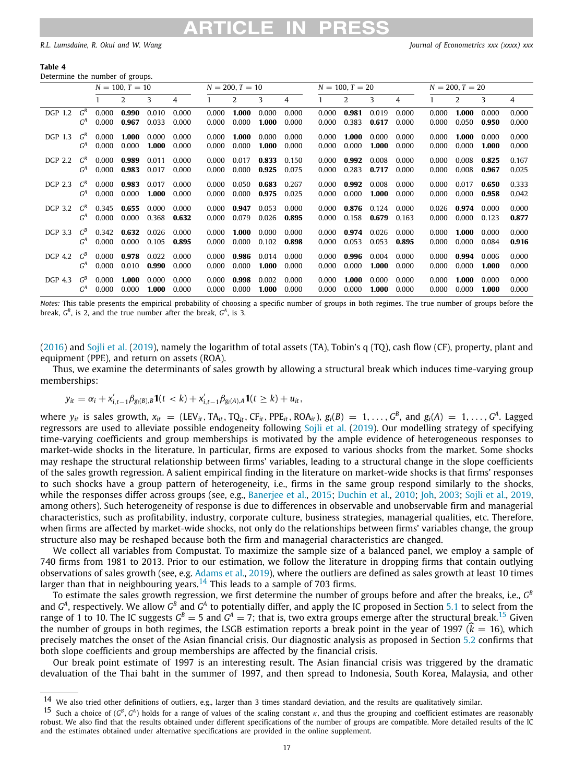#### **Table 4**

<span id="page-16-0"></span>Determine the number of groups.

|                |       | $N = 100, T = 10$ |       |       | $N = 200, T = 10$ |       |       | $N = 100, T = 20$ |       |       |       | $N = 200$ , $T = 20$ |       |       |       |       |       |
|----------------|-------|-------------------|-------|-------|-------------------|-------|-------|-------------------|-------|-------|-------|----------------------|-------|-------|-------|-------|-------|
|                |       |                   | 2     | 3     | 4                 |       | 2     | 3                 | 4     |       | 2     | 3                    | 4     |       | 2     | 3     | 4     |
| DGP 1.2        | $G^B$ | 0.000             | 0.990 | 0.010 | 0.000             | 0.000 | 1.000 | 0.000             | 0.000 | 0.000 | 0.981 | 0.019                | 0.000 | 0.000 | 1.000 | 0.000 | 0.000 |
|                | $G^A$ | 0.000             | 0.967 | 0.033 | 0.000             | 0.000 | 0.000 | 1.000             | 0.000 | 0.000 | 0.383 | 0.617                | 0.000 | 0.000 | 0.050 | 0.950 | 0.000 |
| <b>DGP 1.3</b> | $G^B$ | 0.000             | 1.000 | 0.000 | 0.000             | 0.000 | 1.000 | 0.000             | 0.000 | 0.000 | 1.000 | 0.000                | 0.000 | 0.000 | 1.000 | 0.000 | 0.000 |
|                | $G^A$ | 0.000             | 0.000 | 1.000 | 0.000             | 0.000 | 0.000 | 1.000             | 0.000 | 0.000 | 0.000 | 1.000                | 0.000 | 0.000 | 0.000 | 1.000 | 0.000 |
| DGP 2.2        | $G^B$ | 0.000             | 0.989 | 0.011 | 0.000             | 0.000 | 0.017 | 0.833             | 0.150 | 0.000 | 0.992 | 0.008                | 0.000 | 0.000 | 0.008 | 0.825 | 0.167 |
|                | $G^A$ | 0.000             | 0.983 | 0.017 | 0.000             | 0.000 | 0.000 | 0.925             | 0.075 | 0.000 | 0.283 | 0.717                | 0.000 | 0.000 | 0.008 | 0.967 | 0.025 |
| DGP 2.3        | $G^B$ | 0.000             | 0.983 | 0.017 | 0.000             | 0.000 | 0.050 | 0.683             | 0.267 | 0.000 | 0.992 | 0.008                | 0.000 | 0.000 | 0.017 | 0.650 | 0.333 |
|                | $G^A$ | 0.000             | 0.000 | 1.000 | 0.000             | 0.000 | 0.000 | 0.975             | 0.025 | 0.000 | 0.000 | 1.000                | 0.000 | 0.000 | 0.000 | 0.958 | 0.042 |
| DGP 3.2        | $G^B$ | 0.345             | 0.655 | 0.000 | 0.000             | 0.000 | 0.947 | 0.053             | 0.000 | 0.000 | 0.876 | 0.124                | 0.000 | 0.026 | 0.974 | 0.000 | 0.000 |
|                | $G^A$ | 0.000             | 0.000 | 0.368 | 0.632             | 0.000 | 0.079 | 0.026             | 0.895 | 0.000 | 0.158 | 0.679                | 0.163 | 0.000 | 0.000 | 0.123 | 0.877 |
| DGP 3.3        | $G^B$ | 0.342             | 0.632 | 0.026 | 0.000             | 0.000 | 1.000 | 0.000             | 0.000 | 0.000 | 0.974 | 0.026                | 0.000 | 0.000 | 1.000 | 0.000 | 0.000 |
|                | $G^A$ | 0.000             | 0.000 | 0.105 | 0.895             | 0.000 | 0.000 | 0.102             | 0.898 | 0.000 | 0.053 | 0.053                | 0.895 | 0.000 | 0.000 | 0.084 | 0.916 |
| DGP 4.2        | $G^B$ | 0.000             | 0.978 | 0.022 | 0.000             | 0.000 | 0.986 | 0.014             | 0.000 | 0.000 | 0.996 | 0.004                | 0.000 | 0.000 | 0.994 | 0.006 | 0.000 |
|                | $G^A$ | 0.000             | 0.010 | 0.990 | 0.000             | 0.000 | 0.000 | 1.000             | 0.000 | 0.000 | 0.000 | 1.000                | 0.000 | 0.000 | 0.000 | 1.000 | 0.000 |
| <b>DGP 4.3</b> | $G^B$ | 0.000             | 1.000 | 0.000 | 0.000             | 0.000 | 0.998 | 0.002             | 0.000 | 0.000 | 1.000 | 0.000                | 0.000 | 0.000 | 1.000 | 0.000 | 0.000 |
|                | $G^A$ | 0.000             | 0.000 | 1.000 | 0.000             | 0.000 | 0.000 | 1.000             | 0.000 | 0.000 | 0.000 | 1.000                | 0.000 | 0.000 | 0.000 | 1.000 | 0.000 |

*Notes:* This table presents the empirical probability of choosing a specific number of groups in both regimes. The true number of groups before the break,  $G^B$ , is 2, and the true number after the break,  $G^A$ , is 3.

[\(2016\)](#page-20-38) and [Sojli et al.](#page-20-41) [\(2019](#page-20-41)), namely the logarithm of total assets (TA), Tobin's q (TQ), cash flow (CF), property, plant and equipment (PPE), and return on assets (ROA).

Thus, we examine the determinants of sales growth by allowing a structural break which induces time-varying group memberships:

$$
y_{it} = \alpha_i + x'_{i,t-1} \beta_{g_i(B),B} \mathbf{1}(t < k) + x'_{i,t-1} \beta_{g_i(A),A} \mathbf{1}(t \geq k) + u_{it},
$$

where  $y_{it}$  is sales growth,  $x_{it} = (LEV_{it}, TA_{it}, TQ_{it}, CF_{it}, PPE_{it}, ROA_{it}), g_i(B) = 1, ..., G^B$ , and  $g_i(A) = 1, ..., G^A$ . Lagged regressors are used to alleviate possible endogeneity following [Sojli et al.](#page-20-41) ([2019](#page-20-41)). Our modelling strategy of specifying time-varying coefficients and group memberships is motivated by the ample evidence of heterogeneous responses to market-wide shocks in the literature. In particular, firms are exposed to various shocks from the market. Some shocks may reshape the structural relationship between firms' variables, leading to a structural change in the slope coefficients of the sales growth regression. A salient empirical finding in the literature on market-wide shocks is that firms' responses to such shocks have a group pattern of heterogeneity, i.e., firms in the same group respond similarly to the shocks, while the responses differ across groups (see, e.g., [Banerjee et al.,](#page-20-2) [2015;](#page-20-2) [Duchin et al.,](#page-20-7) [2010;](#page-20-7) [Joh,](#page-20-42) [2003;](#page-20-42) [Sojli et al.,](#page-20-41) [2019,](#page-20-41) among others). Such heterogeneity of response is due to differences in observable and unobservable firm and managerial characteristics, such as profitability, industry, corporate culture, business strategies, managerial qualities, etc. Therefore, when firms are affected by market-wide shocks, not only do the relationships between firms' variables change, the group structure also may be reshaped because both the firm and managerial characteristics are changed.

We collect all variables from Compustat. To maximize the sample size of a balanced panel, we employ a sample of 740 firms from 1981 to 2013. Prior to our estimation, we follow the literature in dropping firms that contain outlying observations of sales growth (see, e.g. [Adams et al.](#page-19-6), [2019](#page-19-6)), where the outliers are defined as sales growth at least 10 times larger than that in neighbouring years.<sup>[14](#page-16-1)</sup> This leads to a sample of 703 firms.

<span id="page-16-2"></span><span id="page-16-1"></span>To estimate the sales growth regression, we first determine the number of groups before and after the breaks, i.e.,  $G^E$ and  $G^A$ , respectively. We allow  $G^B$  and  $G^A$  to potentially differ, and apply the IC proposed in Section [5.1](#page-8-0) to select from the range of 1 to 10. The IC suggests  $G^B=5$  and  $G^A=7$ ; that is, two extra groups emerge after the structural break.<sup>[15](#page-16-2)</sup> Given the number of groups in both regimes, the LSGB estimation reports a break point in the year of 1997 ( $\hat{k} = 16$ ), which precisely matches the onset of the Asian financial crisis. Our diagnostic analysis as proposed in Section [5.2](#page-9-0) confirms that both slope coefficients and group memberships are affected by the financial crisis.

Our break point estimate of 1997 is an interesting result. The Asian financial crisis was triggered by the dramatic devaluation of the Thai baht in the summer of 1997, and then spread to Indonesia, South Korea, Malaysia, and other

<sup>14</sup> We also tried other definitions of outliers, e.g., larger than 3 times standard deviation, and the results are qualitatively similar.

<sup>15</sup> Such a choice of ( $G^B$ ,  $G^A$ ) holds for a range of values of the scaling constant  $\kappa$ , and thus the grouping and coefficient estimates are reasonably robust. We also find that the results obtained under different specifications of the number of groups are compatible. More detailed results of the IC and the estimates obtained under alternative specifications are provided in the online supplement.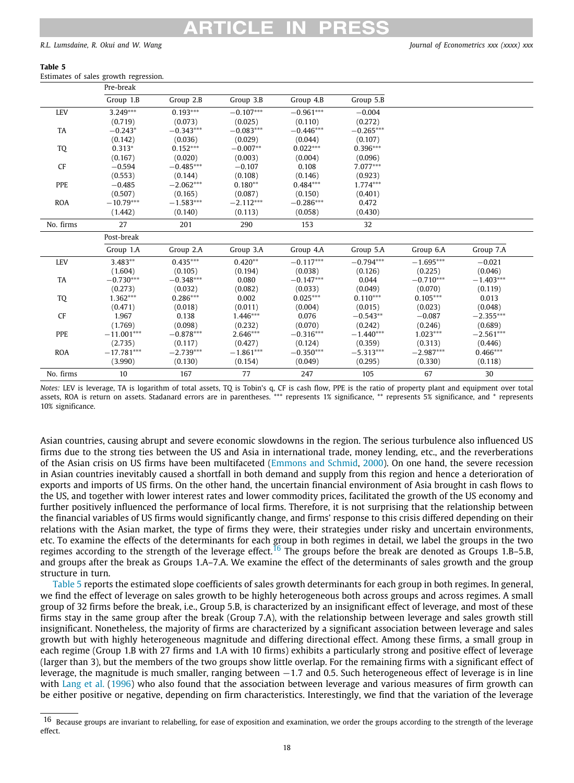### **Table 5**

<span id="page-17-1"></span>Estimates of sales growth regression.

|            | Pre-break    |                    |             |             |             |             |             |
|------------|--------------|--------------------|-------------|-------------|-------------|-------------|-------------|
|            | Group 1.B    | Group 2.B          | Group 3.B   | Group 4.B   | Group 5.B   |             |             |
| <b>LEV</b> | $3.249***$   | $0.193***$         | $-0.107***$ | $-0.961***$ | $-0.004$    |             |             |
|            | (0.719)      | (0.073)            | (0.025)     | (0.110)     | (0.272)     |             |             |
| TA         | $-0.243*$    | $-0.343***$        | $-0.083***$ | $-0.446***$ | $-0.265***$ |             |             |
|            | (0.142)      | (0.036)<br>(0.029) |             | (0.044)     | (0.107)     |             |             |
| TQ         | $0.313*$     | $0.152***$         | $-0.007**$  | $0.022***$  | $0.396***$  |             |             |
|            | (0.167)      | (0.020)            | (0.003)     | (0.004)     | (0.096)     |             |             |
| <b>CF</b>  | $-0.594$     | $-0.485***$        | $-0.107$    | 0.108       | $7.077***$  |             |             |
|            | (0.553)      | (0.144)            | (0.108)     | (0.146)     | (0.923)     |             |             |
| PPE        | $-0.485$     | $-2.062***$        | $0.180**$   | $0.484***$  | $1.774***$  |             |             |
|            | (0.507)      | (0.165)            | (0.087)     | (0.150)     | (0.401)     |             |             |
| <b>ROA</b> | $-10.79***$  | $-1.583***$        | $-2.112***$ | $-0.286***$ | 0.472       |             |             |
|            | (1.442)      | (0.140)            | (0.113)     | (0.058)     | (0.430)     |             |             |
| No. firms  | 27           | 201                | 290         | 153         | 32          |             |             |
|            | Post-break   |                    |             |             |             |             |             |
|            | Group 1.A    | Group 2.A          | Group 3.A   | Group 4.A   | Group 5.A   | Group 6.A   | Group 7.A   |
| <b>LEV</b> | $3.483**$    | $0.435***$         | $0.420**$   | $-0.117***$ | $-0.794***$ | $-1.695***$ | $-0.021$    |
|            | (1.604)      | (0.105)            | (0.194)     | (0.038)     | (0.126)     | (0.225)     | (0.046)     |
| <b>TA</b>  | $-0.730***$  | $-0.348***$        | 0.080       | $-0.147***$ | 0.044       | $-0.710***$ | $-1.403***$ |
|            | (0.273)      | (0.032)            | (0.082)     | (0.033)     | (0.049)     | (0.070)     | (0.119)     |
| TQ         | $1.362***$   | $0.286***$         | 0.002       | $0.025***$  | $0.110***$  | $0.105***$  | 0.013       |
|            | (0.471)      | (0.018)            | (0.011)     | (0.004)     | (0.015)     | (0.023)     | (0.048)     |
| <b>CF</b>  | 1.967        | 0.138              | $1.446***$  | 0.076       | $-0.543**$  | $-0.087$    | $-2.355***$ |
|            | (1.769)      | (0.098)            | (0.232)     | (0.070)     | (0.242)     | (0.246)     | (0.689)     |
| PPE        | $-11.001***$ | $-0.878***$        | $2.646***$  | $-0.316***$ | $-1.440***$ | $1.023***$  | $-2.561***$ |
|            | (2.735)      | (0.117)            | (0.427)     | (0.124)     | (0.359)     | (0.313)     | (0.446)     |
| <b>ROA</b> | $-17.781***$ | $-2.739***$        | $-1.861***$ | $-0.350***$ | $-5.313***$ | $-2.987***$ | $0.466***$  |
|            | (3.990)      | (0.130)            | (0.154)     | (0.049)     | (0.295)     | (0.330)     | (0.118)     |
| No. firms  | 10           | 167                | 77          | 247         | 105         | 67          | 30          |

*Notes:* LEV is leverage, TA is logarithm of total assets, TQ is Tobin's q, CF is cash flow, PPE is the ratio of property plant and equipment over total assets, ROA is return on assets. Stadanard errors are in parentheses. \*\*\* represents 1% significance, \*\* represents 5% significance, and \* represents 10% significance.

Asian countries, causing abrupt and severe economic slowdowns in the region. The serious turbulence also influenced US firms due to the strong ties between the US and Asia in international trade, money lending, etc., and the reverberations of the Asian crisis on US firms have been multifaceted [\(Emmons and Schmid,](#page-20-43) [2000\)](#page-20-43). On one hand, the severe recession in Asian countries inevitably caused a shortfall in both demand and supply from this region and hence a deterioration of exports and imports of US firms. On the other hand, the uncertain financial environment of Asia brought in cash flows to the US, and together with lower interest rates and lower commodity prices, facilitated the growth of the US economy and further positively influenced the performance of local firms. Therefore, it is not surprising that the relationship between the financial variables of US firms would significantly change, and firms' response to this crisis differed depending on their relations with the Asian market, the type of firms they were, their strategies under risky and uncertain environments, etc. To examine the effects of the determinants for each group in both regimes in detail, we label the groups in the two regimes according to the strength of the leverage effect.<sup>[16](#page-17-0)</sup> The groups before the break are denoted as Groups 1.B–5.B, and groups after the break as Groups 1.A–7.A. We examine the effect of the determinants of sales growth and the group structure in turn.

<span id="page-17-0"></span>[Table](#page-17-1) [5](#page-17-1) reports the estimated slope coefficients of sales growth determinants for each group in both regimes. In general, we find the effect of leverage on sales growth to be highly heterogeneous both across groups and across regimes. A small group of 32 firms before the break, i.e., Group 5.B, is characterized by an insignificant effect of leverage, and most of these firms stay in the same group after the break (Group 7.A), with the relationship between leverage and sales growth still insignificant. Nonetheless, the majority of firms are characterized by a significant association between leverage and sales growth but with highly heterogeneous magnitude and differing directional effect. Among these firms, a small group in each regime (Group 1.B with 27 firms and 1.A with 10 firms) exhibits a particularly strong and positive effect of leverage (larger than 3), but the members of the two groups show little overlap. For the remaining firms with a significant effect of leverage, the magnitude is much smaller, ranging between −1.7 and 0.5. Such heterogeneous effect of leverage is in line with [Lang et al.](#page-20-44) [\(1996](#page-20-44)) who also found that the association between leverage and various measures of firm growth can be either positive or negative, depending on firm characteristics. Interestingly, we find that the variation of the leverage

<sup>16</sup> Because groups are invariant to relabelling, for ease of exposition and examination, we order the groups according to the strength of the leverage effect.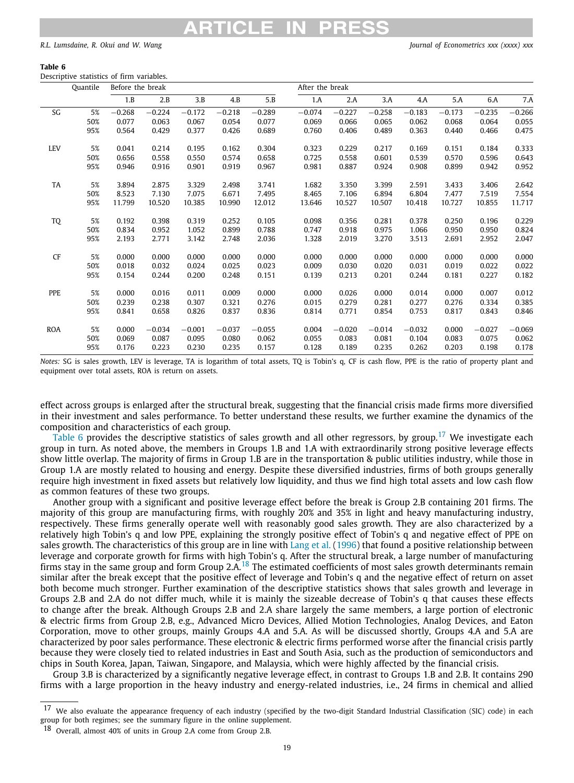### **Table 6**

<span id="page-18-0"></span>Descriptive statistics of firm variables.

|            | Quantile | Before the break |          |          |          |          |          | After the break |          |          |          |          |          |  |
|------------|----------|------------------|----------|----------|----------|----------|----------|-----------------|----------|----------|----------|----------|----------|--|
|            |          | 1.B              | 2.B      | 3.B      | 4.B      | 5.B      | 1.A      | 2.A             | 3.A      | 4.A      | 5.A      | 6.A      | 7.A      |  |
| SG         | 5%       | $-0.268$         | $-0.224$ | $-0.172$ | $-0.218$ | $-0.289$ | $-0.074$ | $-0.227$        | $-0.258$ | $-0.183$ | $-0.173$ | $-0.235$ | $-0.266$ |  |
|            | 50%      | 0.077            | 0.063    | 0.067    | 0.054    | 0.077    | 0.069    | 0.066           | 0.065    | 0.062    | 0.068    | 0.064    | 0.055    |  |
|            | 95%      | 0.564            | 0.429    | 0.377    | 0.426    | 0.689    | 0.760    | 0.406           | 0.489    | 0.363    | 0.440    | 0.466    | 0.475    |  |
| <b>LEV</b> | 5%       | 0.041            | 0.214    | 0.195    | 0.162    | 0.304    | 0.323    | 0.229           | 0.217    | 0.169    | 0.151    | 0.184    | 0.333    |  |
|            | 50%      | 0.656            | 0.558    | 0.550    | 0.574    | 0.658    | 0.725    | 0.558           | 0.601    | 0.539    | 0.570    | 0.596    | 0.643    |  |
|            | 95%      | 0.946            | 0.916    | 0.901    | 0.919    | 0.967    | 0.981    | 0.887           | 0.924    | 0.908    | 0.899    | 0.942    | 0.952    |  |
| TA         | 5%       | 3.894            | 2.875    | 3.329    | 2.498    | 3.741    | 1.682    | 3.350           | 3.399    | 2.591    | 3.433    | 3.406    | 2.642    |  |
|            | 50%      | 8.523            | 7.130    | 7.075    | 6.671    | 7.495    | 8.465    | 7.106           | 6.894    | 6.804    | 7.477    | 7.519    | 7.554    |  |
|            | 95%      | 11.799           | 10.520   | 10.385   | 10.990   | 12.012   | 13.646   | 10.527          | 10.507   | 10.418   | 10.727   | 10.855   | 11.717   |  |
| TQ         | 5%       | 0.192            | 0.398    | 0.319    | 0.252    | 0.105    | 0.098    | 0.356           | 0.281    | 0.378    | 0.250    | 0.196    | 0.229    |  |
|            | 50%      | 0.834            | 0.952    | 1.052    | 0.899    | 0.788    | 0.747    | 0.918           | 0.975    | 1.066    | 0.950    | 0.950    | 0.824    |  |
|            | 95%      | 2.193            | 2.771    | 3.142    | 2.748    | 2.036    | 1.328    | 2.019           | 3.270    | 3.513    | 2.691    | 2.952    | 2.047    |  |
| CF         | 5%       | 0.000            | 0.000    | 0.000    | 0.000    | 0.000    | 0.000    | 0.000           | 0.000    | 0.000    | 0.000    | 0.000    | 0.000    |  |
|            | 50%      | 0.018            | 0.032    | 0.024    | 0.025    | 0.023    | 0.009    | 0.030           | 0.020    | 0.031    | 0.019    | 0.022    | 0.022    |  |
|            | 95%      | 0.154            | 0.244    | 0.200    | 0.248    | 0.151    | 0.139    | 0.213           | 0.201    | 0.244    | 0.181    | 0.227    | 0.182    |  |
| PPE        | 5%       | 0.000            | 0.016    | 0.011    | 0.009    | 0.000    | 0.000    | 0.026           | 0.000    | 0.014    | 0.000    | 0.007    | 0.012    |  |
|            | 50%      | 0.239            | 0.238    | 0.307    | 0.321    | 0.276    | 0.015    | 0.279           | 0.281    | 0.277    | 0.276    | 0.334    | 0.385    |  |
|            | 95%      | 0.841            | 0.658    | 0.826    | 0.837    | 0.836    | 0.814    | 0.771           | 0.854    | 0.753    | 0.817    | 0.843    | 0.846    |  |
| <b>ROA</b> | 5%       | 0.000            | $-0.034$ | $-0.001$ | $-0.037$ | $-0.055$ | 0.004    | $-0.020$        | $-0.014$ | $-0.032$ | 0.000    | $-0.027$ | $-0.069$ |  |
|            | 50%      | 0.069            | 0.087    | 0.095    | 0.080    | 0.062    | 0.055    | 0.083           | 0.081    | 0.104    | 0.083    | 0.075    | 0.062    |  |
|            | 95%      | 0.176            | 0.223    | 0.230    | 0.235    | 0.157    | 0.128    | 0.189           | 0.235    | 0.262    | 0.203    | 0.198    | 0.178    |  |

*Notes:* SG is sales growth, LEV is leverage, TA is logarithm of total assets, TQ is Tobin's q, CF is cash flow, PPE is the ratio of property plant and equipment over total assets, ROA is return on assets.

effect across groups is enlarged after the structural break, suggesting that the financial crisis made firms more diversified in their investment and sales performance. To better understand these results, we further examine the dynamics of the composition and characteristics of each group.

<span id="page-18-1"></span>[Table](#page-18-0) [6](#page-18-0) provides the descriptive statistics of sales growth and all other regressors, by group.<sup>[17](#page-18-1)</sup> We investigate each group in turn. As noted above, the members in Groups 1.B and 1.A with extraordinarily strong positive leverage effects show little overlap. The majority of firms in Group 1.B are in the transportation & public utilities industry, while those in Group 1.A are mostly related to housing and energy. Despite these diversified industries, firms of both groups generally require high investment in fixed assets but relatively low liquidity, and thus we find high total assets and low cash flow as common features of these two groups.

<span id="page-18-2"></span>Another group with a significant and positive leverage effect before the break is Group 2.B containing 201 firms. The majority of this group are manufacturing firms, with roughly 20% and 35% in light and heavy manufacturing industry, respectively. These firms generally operate well with reasonably good sales growth. They are also characterized by a relatively high Tobin's q and low PPE, explaining the strongly positive effect of Tobin's q and negative effect of PPE on sales growth. The characteristics of this group are in line with [Lang et al.](#page-20-44) [\(1996](#page-20-44)) that found a positive relationship between leverage and corporate growth for firms with high Tobin's q. After the structural break, a large number of manufacturing firms stay in the same group and form Group 2.A.<sup>[18](#page-18-2)</sup> The estimated coefficients of most sales growth determinants remain similar after the break except that the positive effect of leverage and Tobin's q and the negative effect of return on asset both become much stronger. Further examination of the descriptive statistics shows that sales growth and leverage in Groups 2.B and 2.A do not differ much, while it is mainly the sizeable decrease of Tobin's q that causes these effects to change after the break. Although Groups 2.B and 2.A share largely the same members, a large portion of electronic & electric firms from Group 2.B, e.g., Advanced Micro Devices, Allied Motion Technologies, Analog Devices, and Eaton Corporation, move to other groups, mainly Groups 4.A and 5.A. As will be discussed shortly, Groups 4.A and 5.A are characterized by poor sales performance. These electronic & electric firms performed worse after the financial crisis partly because they were closely tied to related industries in East and South Asia, such as the production of semiconductors and chips in South Korea, Japan, Taiwan, Singapore, and Malaysia, which were highly affected by the financial crisis.

Group 3.B is characterized by a significantly negative leverage effect, in contrast to Groups 1.B and 2.B. It contains 290 firms with a large proportion in the heavy industry and energy-related industries, i.e., 24 firms in chemical and allied

 $17$  We also evaluate the appearance frequency of each industry (specified by the two-digit Standard Industrial Classification (SIC) code) in each group for both regimes; see the summary figure in the online supplement.

<sup>18</sup> Overall, almost 40% of units in Group 2.A come from Group 2.B.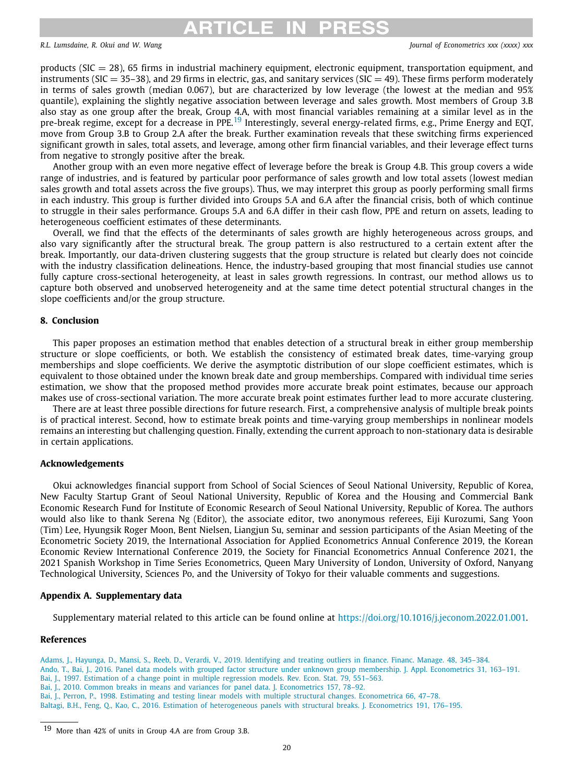# <span id="page-19-7"></span>ARTICLE IN PRESS

*R.L. Lumsdaine, R. Okui and W. Wang Journal of Econometrics xxx (xxxx) xxx*

products ( $SIC = 28$ ), 65 firms in industrial machinery equipment, electronic equipment, transportation equipment, and instruments ( $SIC = 35-38$ ), and 29 firms in electric, gas, and sanitary services ( $SIC = 49$ ). These firms perform moderately in terms of sales growth (median 0.067), but are characterized by low leverage (the lowest at the median and 95% quantile), explaining the slightly negative association between leverage and sales growth. Most members of Group 3.B also stay as one group after the break, Group 4.A, with most financial variables remaining at a similar level as in the pre-break regime, except for a decrease in PPE.<sup>[19](#page-19-7)</sup> Interestingly, several energy-related firms, e.g., Prime Energy and EQT, move from Group 3.B to Group 2.A after the break. Further examination reveals that these switching firms experienced significant growth in sales, total assets, and leverage, among other firm financial variables, and their leverage effect turns from negative to strongly positive after the break.

Another group with an even more negative effect of leverage before the break is Group 4.B. This group covers a wide range of industries, and is featured by particular poor performance of sales growth and low total assets (lowest median sales growth and total assets across the five groups). Thus, we may interpret this group as poorly performing small firms in each industry. This group is further divided into Groups 5.A and 6.A after the financial crisis, both of which continue to struggle in their sales performance. Groups 5.A and 6.A differ in their cash flow, PPE and return on assets, leading to heterogeneous coefficient estimates of these determinants.

Overall, we find that the effects of the determinants of sales growth are highly heterogeneous across groups, and also vary significantly after the structural break. The group pattern is also restructured to a certain extent after the break. Importantly, our data-driven clustering suggests that the group structure is related but clearly does not coincide with the industry classification delineations. Hence, the industry-based grouping that most financial studies use cannot fully capture cross-sectional heterogeneity, at least in sales growth regressions. In contrast, our method allows us to capture both observed and unobserved heterogeneity and at the same time detect potential structural changes in the slope coefficients and/or the group structure.

### **8. Conclusion**

<span id="page-19-3"></span>This paper proposes an estimation method that enables detection of a structural break in either group membership structure or slope coefficients, or both. We establish the consistency of estimated break dates, time-varying group memberships and slope coefficients. We derive the asymptotic distribution of our slope coefficient estimates, which is equivalent to those obtained under the known break date and group memberships. Compared with individual time series estimation, we show that the proposed method provides more accurate break point estimates, because our approach makes use of cross-sectional variation. The more accurate break point estimates further lead to more accurate clustering.

There are at least three possible directions for future research. First, a comprehensive analysis of multiple break points is of practical interest. Second, how to estimate break points and time-varying group memberships in nonlinear models remains an interesting but challenging question. Finally, extending the current approach to non-stationary data is desirable in certain applications.

### **Acknowledgements**

Okui acknowledges financial support from School of Social Sciences of Seoul National University, Republic of Korea, New Faculty Startup Grant of Seoul National University, Republic of Korea and the Housing and Commercial Bank Economic Research Fund for Institute of Economic Research of Seoul National University, Republic of Korea. The authors would also like to thank Serena Ng (Editor), the associate editor, two anonymous referees, Eiji Kurozumi, Sang Yoon (Tim) Lee, Hyungsik Roger Moon, Bent Nielsen, Liangjun Su, seminar and session participants of the Asian Meeting of the Econometric Society 2019, the International Association for Applied Econometrics Annual Conference 2019, the Korean Economic Review International Conference 2019, the Society for Financial Econometrics Annual Conference 2021, the 2021 Spanish Workshop in Time Series Econometrics, Queen Mary University of London, University of Oxford, Nanyang Technological University, Sciences Po, and the University of Tokyo for their valuable comments and suggestions.

### **Appendix A. Supplementary data**

Supplementary material related to this article can be found online at [https://doi.org/10.1016/j.jeconom.2022.01.001.](https://doi.org/10.1016/j.jeconom.2022.01.001)

### **References**

<span id="page-19-6"></span><span id="page-19-5"></span><span id="page-19-4"></span><span id="page-19-1"></span><span id="page-19-0"></span>[Adams, J., Hayunga, D., Mansi, S., Reeb, D., Verardi, V., 2019. Identifying and treating outliers in finance. Financ. Manage. 48, 345–384.](http://refhub.elsevier.com/S0304-4076(22)00003-3/sb1) [Ando, T., Bai, J., 2016. Panel data models with grouped factor structure under unknown group membership. J. Appl. Econometrics 31, 163–191.](http://refhub.elsevier.com/S0304-4076(22)00003-3/sb2) [Bai, J., 1997. Estimation of a change point in multiple regression models. Rev. Econ. Stat. 79, 551–563.](http://refhub.elsevier.com/S0304-4076(22)00003-3/sb3) [Bai, J., 2010. Common breaks in means and variances for panel data. J. Econometrics 157, 78–92.](http://refhub.elsevier.com/S0304-4076(22)00003-3/sb4) [Bai, J., Perron, P., 1998. Estimating and testing linear models with multiple structural changes. Econometrica 66, 47–78.](http://refhub.elsevier.com/S0304-4076(22)00003-3/sb5) [Baltagi, B.H., Feng, Q., Kao, C., 2016. Estimation of heterogeneous panels with structural breaks. J. Econometrics 191, 176–195.](http://refhub.elsevier.com/S0304-4076(22)00003-3/sb6)

<span id="page-19-2"></span><sup>19</sup> More than 42% of units in Group 4.A are from Group 3.B.